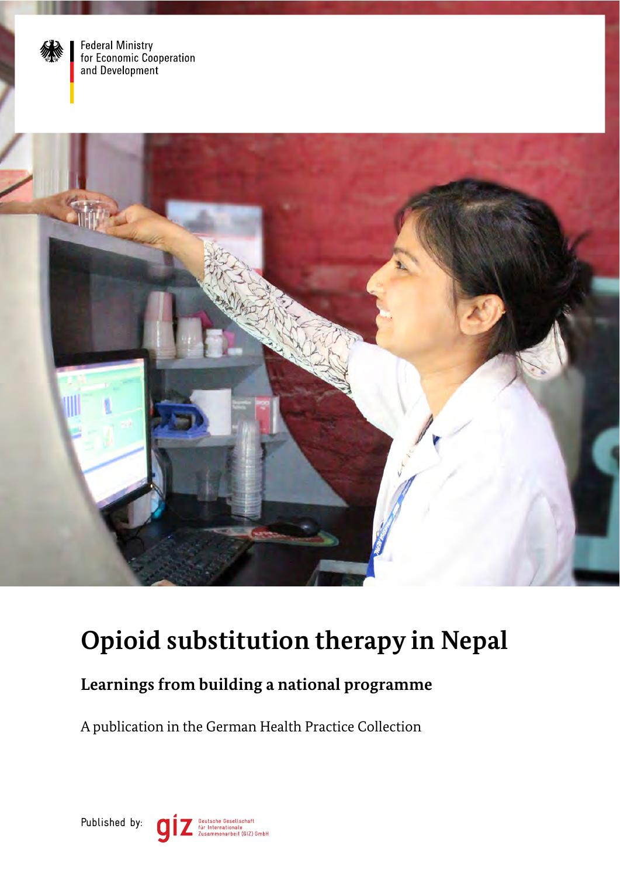

Federal Ministry<br>for Economic Cooperation<br>and Development



# **Opioid substitution therapy in Nepal**

## **Learnings from building a national programme**

A publication in the German Health Practice Collection

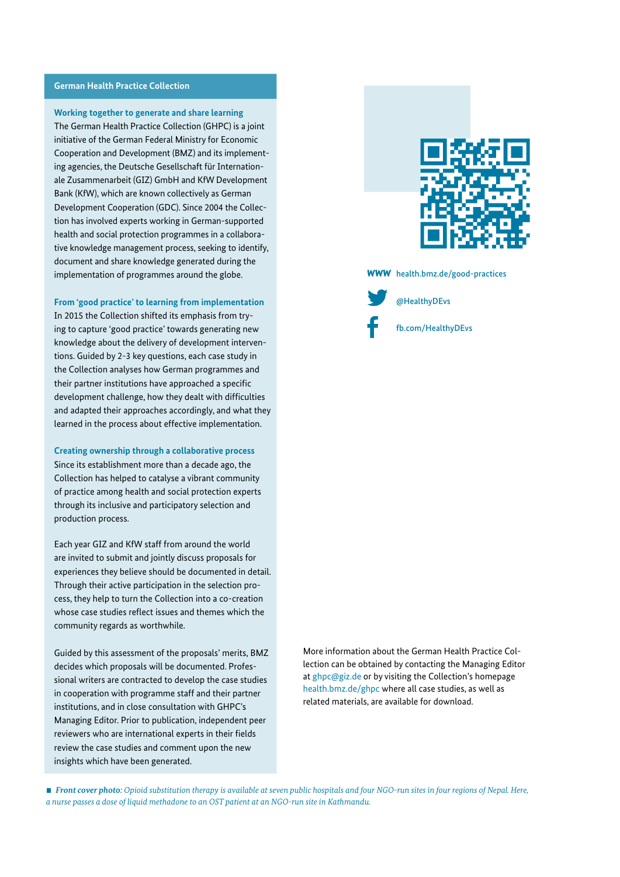#### **German Health Practice Collection**

#### **Working together to generate and share learning**

The German Health Practice Collection (GHPC) is a joint initiative of the German Federal Ministry for Economic Cooperation and Development (BMZ) and its implementing agencies, the Deutsche Gesellschaft für Internationale Zusammenarbeit (GIZ) GmbH and KfW Development Bank (KfW), which are known collectively as German Development Cooperation (GDC). Since 2004 the Collection has involved experts working in German-supported health and social protection programmes in a collaborative knowledge management process, seeking to identify, document and share knowledge generated during the implementation of programmes around the globe.

**From 'good practice' to learning from implementation**

In 2015 the Collection shifted its emphasis from trying to capture 'good practice' towards generating new knowledge about the delivery of development interventions. Guided by 2-3 key questions, each case study in the Collection analyses how German programmes and their partner institutions have approached a specific development challenge, how they dealt with difficulties and adapted their approaches accordingly, and what they learned in the process about effective implementation.

**Creating ownership through a collaborative process**  Since its establishment more than a decade ago, the Collection has helped to catalyse a vibrant community of practice among health and social protection experts through its inclusive and participatory selection and production process.

Each year GIZ and KfW staff from around the world are invited to submit and jointly discuss proposals for experiences they believe should be documented in detail. Through their active participation in the selection process, they help to turn the Collection into a co-creation whose case studies reflect issues and themes which the community regards as worthwhile.

Guided by this assessment of the proposals' merits, BMZ decides which proposals will be documented. Professional writers are contracted to develop the case studies in cooperation with programme staff and their partner institutions, and in close consultation with GHPC's Managing Editor. Prior to publication, independent peer reviewers who are international experts in their fields review the case studies and comment upon the new insights which have been generated.



**WWW** [health.bmz.de/good-practices](http://health.bmz.de/good-practices/)



[@HealthyDEvs](https://twitter.com/HealthyDEvs)

[fb.com/HealthyDEvs](http://fb.com/HealthyDEvs)

More information about the German Health Practice Collection can be obtained by contacting the Managing Editor at [ghpc@giz.de](mailto:ghpc%40giz.de?subject=) or by visiting the Collection's homepage [health.bmz.de/ghpc](http://health.bmz.de/ghpc) where all case studies, as well as related materials, are available for download.

 *Front cover photo: Opioid substitution therapy is available at seven public hospitals and four NGO-run sites in four regions of Nepal. Here, a nurse passes a dose of liquid methadone to an OST patient at an NGO-run site in Kathmandu.*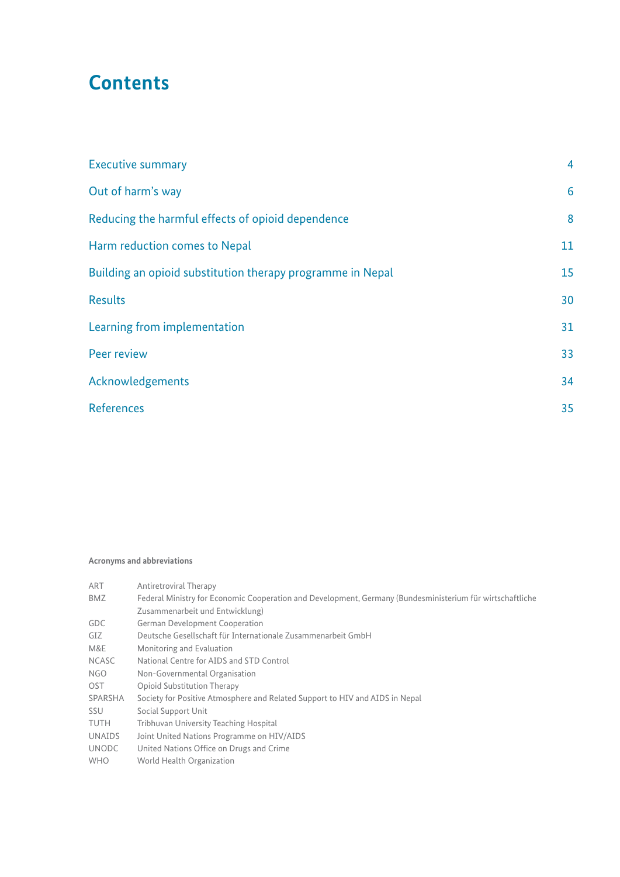## **Contents**

| <b>Executive summary</b>                                   | $\overline{4}$ |
|------------------------------------------------------------|----------------|
| Out of harm's way                                          | 6              |
| Reducing the harmful effects of opioid dependence          | 8              |
| Harm reduction comes to Nepal                              | 11             |
| Building an opioid substitution therapy programme in Nepal | 15             |
| <b>Results</b>                                             | 30             |
| Learning from implementation                               | 31             |
| Peer review                                                | 33             |
| Acknowledgements                                           | 34             |
| <b>References</b>                                          | 35             |
|                                                            |                |

#### **Acronyms and abbreviations**

| ART           | Antiretroviral Therapy                                                                                    |
|---------------|-----------------------------------------------------------------------------------------------------------|
| <b>BMZ</b>    | Federal Ministry for Economic Cooperation and Development, Germany (Bundesministerium für wirtschaftliche |
|               | Zusammenarbeit und Entwicklung)                                                                           |
| GDC           | <b>German Development Cooperation</b>                                                                     |
| GIZ           | Deutsche Gesellschaft für Internationale Zusammenarbeit GmbH                                              |
| M&E           | Monitoring and Evaluation                                                                                 |
| <b>NCASC</b>  | National Centre for AIDS and STD Control                                                                  |
| NGO           | Non-Governmental Organisation                                                                             |
| <b>OST</b>    | Opioid Substitution Therapy                                                                               |
| SPARSHA       | Society for Positive Atmosphere and Related Support to HIV and AIDS in Nepal                              |
| <b>SSU</b>    | Social Support Unit                                                                                       |
| <b>TUTH</b>   | <b>Tribhuvan University Teaching Hospital</b>                                                             |
| <b>UNAIDS</b> | Joint United Nations Programme on HIV/AIDS                                                                |
| <b>UNODC</b>  | United Nations Office on Drugs and Crime                                                                  |
| <b>WHO</b>    | World Health Organization                                                                                 |
|               |                                                                                                           |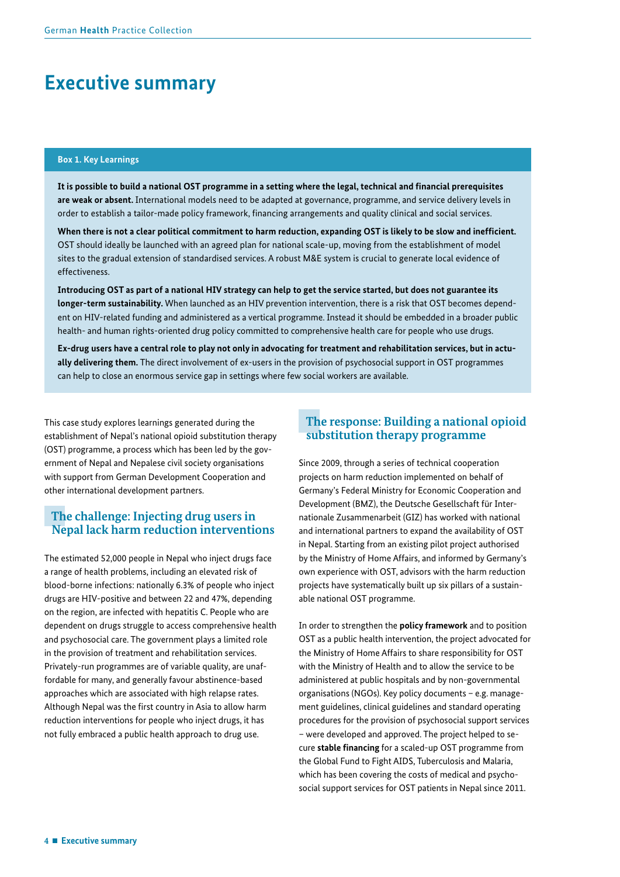## <span id="page-3-0"></span>**Executive summary**

#### **Box 1. Key Learnings**

**It is possible to build a national OST programme in a setting where the legal, technical and fnancial prerequisites are weak or absent.** International models need to be adapted at governance, programme, and service delivery levels in order to establish a tailor-made policy framework, fnancing arrangements and quality clinical and social services.

**When there is not a clear political commitment to harm reduction, expanding OST is likely to be slow and ineffcient.**  OST should ideally be launched with an agreed plan for national scale-up, moving from the establishment of model sites to the gradual extension of standardised services. A robust M&E system is crucial to generate local evidence of effectiveness.

**Introducing OST as part of a national HIV strategy can help to get the service started, but does not guarantee its longer-term sustainability.** When launched as an HIV prevention intervention, there is a risk that OST becomes dependent on HIV-related funding and administered as a vertical programme. Instead it should be embedded in a broader public health- and human rights-oriented drug policy committed to comprehensive health care for people who use drugs.

**Ex-drug users have a central role to play not only in advocating for treatment and rehabilitation services, but in actually delivering them.** The direct involvement of ex-users in the provision of psychosocial support in OST programmes can help to close an enormous service gap in settings where few social workers are available.

This case study explores learnings generated during the establishment of Nepal's national opioid substitution therapy (OST) programme, a process which has been led by the government of Nepal and Nepalese civil society organisations with support from German Development Cooperation and other international development partners.

## **The challenge: Injecting drug users in Nepal lack harm reduction interventions**

The estimated 52,000 people in Nepal who inject drugs face a range of health problems, including an elevated risk of blood-borne infections: nationally 6.3% of people who inject drugs are HIV-positive and between 22 and 47%, depending on the region, are infected with hepatitis C. People who are dependent on drugs struggle to access comprehensive health and psychosocial care. The government plays a limited role in the provision of treatment and rehabilitation services. Privately-run programmes are of variable quality, are unaffordable for many, and generally favour abstinence-based approaches which are associated with high relapse rates. Although Nepal was the first country in Asia to allow harm reduction interventions for people who inject drugs, it has not fully embraced a public health approach to drug use.

### **The response: Building a national opioid substitution therapy programme**

Since 2009, through a series of technical cooperation projects on harm reduction implemented on behalf of Germany's Federal Ministry for Economic Cooperation and Development (BMZ), the Deutsche Gesellschaft für Internationale Zusammenarbeit (GIZ) has worked with national and international partners to expand the availability of OST in Nepal. Starting from an existing pilot project authorised by the Ministry of Home Affairs, and informed by Germany's own experience with OST, advisors with the harm reduction projects have systematically built up six pillars of a sustainable national OST programme.

In order to strengthen the **policy framework** and to position OST as a public health intervention, the project advocated for the Ministry of Home Affairs to share responsibility for OST with the Ministry of Health and to allow the service to be administered at public hospitals and by non-governmental organisations (NGOs). Key policy documents – e.g. management guidelines, clinical guidelines and standard operating procedures for the provision of psychosocial support services – were developed and approved. The project helped to secure **stable fnancing** for a scaled-up OST programme from the Global Fund to Fight AIDS, Tuberculosis and Malaria, which has been covering the costs of medical and psychosocial support services for OST patients in Nepal since 2011.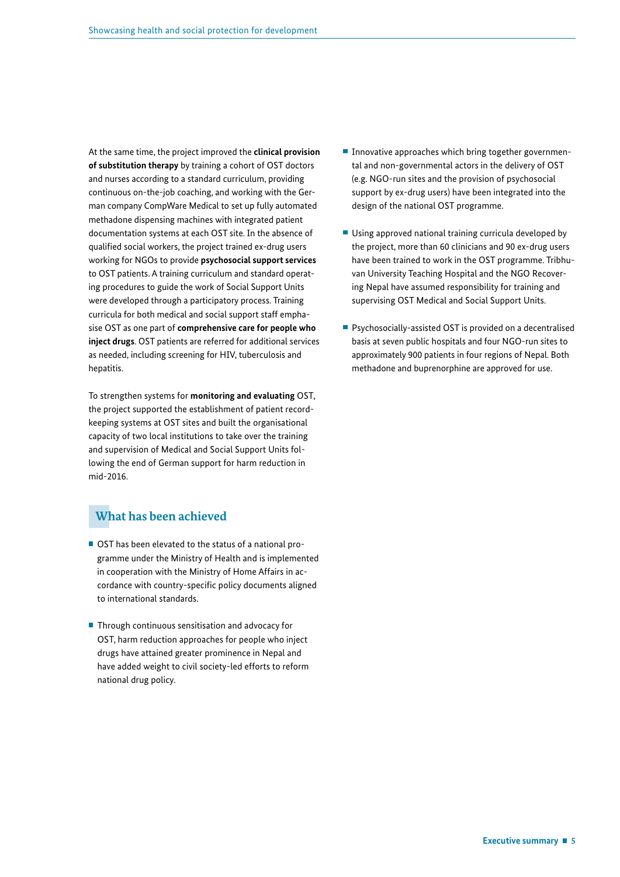At the same time, the project improved the **clinical provision of substitution therapy** by training a cohort of OST doctors and nurses according to a standard curriculum, providing continuous on-the-job coaching, and working with the German company CompWare Medical to set up fully automated methadone dispensing machines with integrated patient documentation systems at each OST site. In the absence of qualifed social workers, the project trained ex-drug users working for NGOs to provide **psychosocial support services** to OST patients. A training curriculum and standard operating procedures to guide the work of Social Support Units were developed through a participatory process. Training curricula for both medical and social support staff emphasise OST as one part of **comprehensive care for people who inject drugs**. OST patients are referred for additional services as needed, including screening for HIV, tuberculosis and hepatitis.

To strengthen systems for **monitoring and evaluating** OST, the project supported the establishment of patient recordkeeping systems at OST sites and built the organisational capacity of two local institutions to take over the training and supervision of Medical and Social Support Units following the end of German support for harm reduction in mid-2016.

## **What has been achieved**

- OST has been elevated to the status of a national programme under the Ministry of Health and is implemented in cooperation with the Ministry of Home Affairs in accordance with country-specific policy documents aligned to international standards.
- Through continuous sensitisation and advocacy for OST, harm reduction approaches for people who inject drugs have attained greater prominence in Nepal and have added weight to civil society-led efforts to reform national drug policy.
- Innovative approaches which bring together governmental and non-governmental actors in the delivery of OST (e.g. NGO-run sites and the provision of psychosocial support by ex-drug users) have been integrated into the design of the national OST programme.
- Using approved national training curricula developed by the project, more than 60 clinicians and 90 ex-drug users have been trained to work in the OST programme. Tribhuvan University Teaching Hospital and the NGO Recovering Nepal have assumed responsibility for training and supervising OST Medical and Social Support Units.
- Psychosocially-assisted OST is provided on a decentralised basis at seven public hospitals and four NGO-run sites to approximately 900 patients in four regions of Nepal. Both methadone and buprenorphine are approved for use.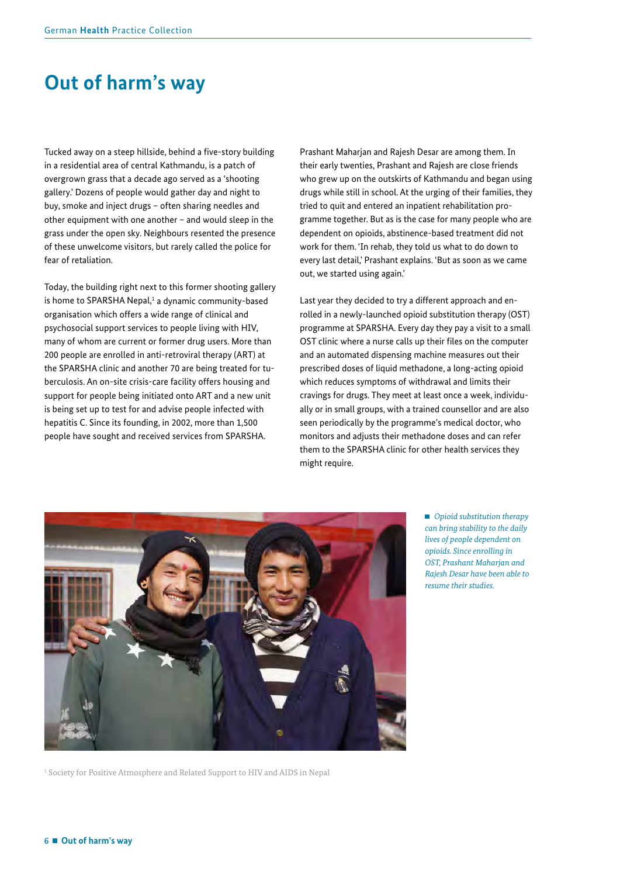## <span id="page-5-0"></span>**Out of harm's way**

Tucked away on a steep hillside, behind a five-story building in a residential area of central Kathmandu, is a patch of overgrown grass that a decade ago served as a 'shooting gallery.' Dozens of people would gather day and night to buy, smoke and inject drugs – often sharing needles and other equipment with one another – and would sleep in the grass under the open sky. Neighbours resented the presence of these unwelcome visitors, but rarely called the police for fear of retaliation.

Today, the building right next to this former shooting gallery is home to SPARSHA Nepal,<sup>1</sup> a dynamic community-based organisation which offers a wide range of clinical and psychosocial support services to people living with HIV, many of whom are current or former drug users. More than 200 people are enrolled in anti-retroviral therapy (ART) at the SPARSHA clinic and another 70 are being treated for tuberculosis. An on-site crisis-care facility offers housing and support for people being initiated onto ART and a new unit is being set up to test for and advise people infected with hepatitis C. Since its founding, in 2002, more than 1,500 people have sought and received services from SPARSHA.

Prashant Maharjan and Rajesh Desar are among them. In their early twenties, Prashant and Rajesh are close friends who grew up on the outskirts of Kathmandu and began using drugs while still in school. At the urging of their families, they tried to quit and entered an inpatient rehabilitation programme together. But as is the case for many people who are dependent on opioids, abstinence-based treatment did not work for them. 'In rehab, they told us what to do down to every last detail,' Prashant explains. 'But as soon as we came out, we started using again.'

Last year they decided to try a different approach and enrolled in a newly-launched opioid substitution therapy (OST) programme at SPARSHA. Every day they pay a visit to a small OST clinic where a nurse calls up their fles on the computer and an automated dispensing machine measures out their prescribed doses of liquid methadone, a long-acting opioid which reduces symptoms of withdrawal and limits their cravings for drugs. They meet at least once a week, individually or in small groups, with a trained counsellor and are also seen periodically by the programme's medical doctor, who monitors and adjusts their methadone doses and can refer them to the SPARSHA clinic for other health services they might require.



<sup>1</sup> Society for Positive Atmosphere and Related Support to HIV and AIDS in Nepal

 *Opioid substitution therapy can bring stability to the daily lives of people dependent on opioids. Since enrolling in OST, Prashant Maharjan and Rajesh Desar have been able to resume their studies.*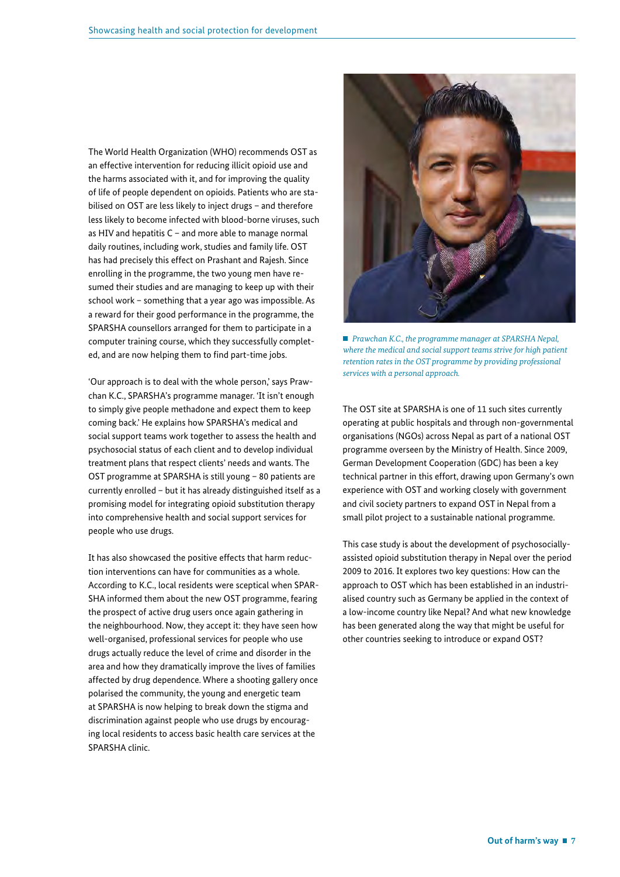The World Health Organization (WHO) recommends OST as an effective intervention for reducing illicit opioid use and the harms associated with it, and for improving the quality of life of people dependent on opioids. Patients who are stabilised on OST are less likely to inject drugs – and therefore less likely to become infected with blood-borne viruses, such as HIV and hepatitis C – and more able to manage normal daily routines, including work, studies and family life. OST has had precisely this effect on Prashant and Rajesh. Since enrolling in the programme, the two young men have resumed their studies and are managing to keep up with their school work – something that a year ago was impossible. As a reward for their good performance in the programme, the SPARSHA counsellors arranged for them to participate in a computer training course, which they successfully completed, and are now helping them to find part-time jobs.

'Our approach is to deal with the whole person,' says Prawchan K.C., SPARSHA's programme manager. 'It isn't enough to simply give people methadone and expect them to keep coming back.' He explains how SPARSHA's medical and social support teams work together to assess the health and psychosocial status of each client and to develop individual treatment plans that respect clients' needs and wants. The OST programme at SPARSHA is still young – 80 patients are currently enrolled – but it has already distinguished itself as a promising model for integrating opioid substitution therapy into comprehensive health and social support services for people who use drugs.

It has also showcased the positive effects that harm reduction interventions can have for communities as a whole. According to K.C., local residents were sceptical when SPAR-SHA informed them about the new OST programme, fearing the prospect of active drug users once again gathering in the neighbourhood. Now, they accept it: they have seen how well-organised, professional services for people who use drugs actually reduce the level of crime and disorder in the area and how they dramatically improve the lives of families affected by drug dependence. Where a shooting gallery once polarised the community, the young and energetic team at SPARSHA is now helping to break down the stigma and discrimination against people who use drugs by encouraging local residents to access basic health care services at the SPARSHA clinic.



 *Prawchan K.C., the programme manager at SPARSHA Nepal, where the medical and social support teams strive for high patient retention rates in the OST programme by providing professional services with a personal approach.*

The OST site at SPARSHA is one of 11 such sites currently operating at public hospitals and through non-governmental organisations (NGOs) across Nepal as part of a national OST programme overseen by the Ministry of Health. Since 2009, German Development Cooperation (GDC) has been a key technical partner in this effort, drawing upon Germany's own experience with OST and working closely with government and civil society partners to expand OST in Nepal from a small pilot project to a sustainable national programme.

This case study is about the development of psychosociallyassisted opioid substitution therapy in Nepal over the period 2009 to 2016. It explores two key questions: How can the approach to OST which has been established in an industrialised country such as Germany be applied in the context of a low-income country like Nepal? And what new knowledge has been generated along the way that might be useful for other countries seeking to introduce or expand OST?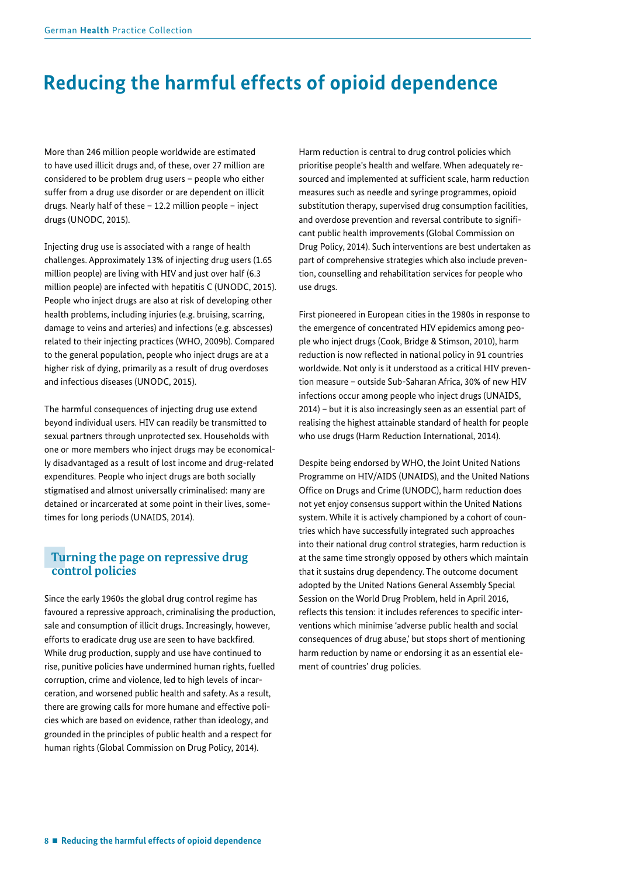## <span id="page-7-0"></span>**Reducing the harmful effects of opioid dependence**

More than 246 million people worldwide are estimated to have used illicit drugs and, of these, over 27 million are considered to be problem drug users – people who either suffer from a drug use disorder or are dependent on illicit drugs. Nearly half of these – 12.2 million people – inject drugs (UNODC, 2015).

Injecting drug use is associated with a range of health challenges. Approximately 13% of injecting drug users (1.65 million people) are living with HIV and just over half (6.3 million people) are infected with hepatitis C (UNODC, 2015). People who inject drugs are also at risk of developing other health problems, including injuries (e.g. bruising, scarring, damage to veins and arteries) and infections (e.g. abscesses) related to their injecting practices (WHO, 2009b). Compared to the general population, people who inject drugs are at a higher risk of dying, primarily as a result of drug overdoses and infectious diseases (UNODC, 2015).

The harmful consequences of injecting drug use extend beyond individual users. HIV can readily be transmitted to sexual partners through unprotected sex. Households with one or more members who inject drugs may be economically disadvantaged as a result of lost income and drug-related expenditures. People who inject drugs are both socially stigmatised and almost universally criminalised: many are detained or incarcerated at some point in their lives, sometimes for long periods (UNAIDS, 2014).

## **Turning the page on repressive drug control policies**

Since the early 1960s the global drug control regime has favoured a repressive approach, criminalising the production, sale and consumption of illicit drugs. Increasingly, however, efforts to eradicate drug use are seen to have backfired. While drug production, supply and use have continued to rise, punitive policies have undermined human rights, fuelled corruption, crime and violence, led to high levels of incarceration, and worsened public health and safety. As a result, there are growing calls for more humane and effective policies which are based on evidence, rather than ideology, and grounded in the principles of public health and a respect for human rights (Global Commission on Drug Policy, 2014).

Harm reduction is central to drug control policies which prioritise people's health and welfare. When adequately resourced and implemented at sufficient scale, harm reduction measures such as needle and syringe programmes, opioid substitution therapy, supervised drug consumption facilities, and overdose prevention and reversal contribute to significant public health improvements (Global Commission on Drug Policy, 2014). Such interventions are best undertaken as part of comprehensive strategies which also include prevention, counselling and rehabilitation services for people who use drugs.

First pioneered in European cities in the 1980s in response to the emergence of concentrated HIV epidemics among people who inject drugs (Cook, Bridge & Stimson, 2010), harm reduction is now reflected in national policy in 91 countries worldwide. Not only is it understood as a critical HIV prevention measure – outside Sub-Saharan Africa, 30% of new HIV infections occur among people who inject drugs (UNAIDS, 2014) – but it is also increasingly seen as an essential part of realising the highest attainable standard of health for people who use drugs (Harm Reduction International, 2014).

Despite being endorsed by WHO, the Joint United Nations Programme on HIV/AIDS (UNAIDS), and the United Nations Office on Drugs and Crime (UNODC), harm reduction does not yet enjoy consensus support within the United Nations system. While it is actively championed by a cohort of countries which have successfully integrated such approaches into their national drug control strategies, harm reduction is at the same time strongly opposed by others which maintain that it sustains drug dependency. The outcome document adopted by the United Nations General Assembly Special Session on the World Drug Problem, held in April 2016, reflects this tension: it includes references to specific interventions which minimise 'adverse public health and social consequences of drug abuse,' but stops short of mentioning harm reduction by name or endorsing it as an essential element of countries' drug policies.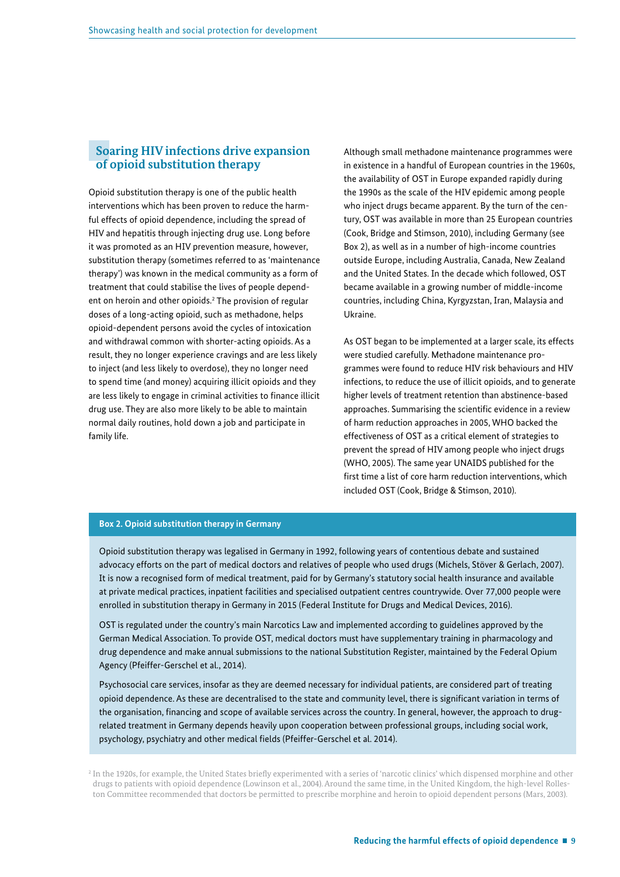### **Soaring HIV infections drive expansion of opioid substitution therapy**

Opioid substitution therapy is one of the public health interventions which has been proven to reduce the harmful effects of opioid dependence, including the spread of HIV and hepatitis through injecting drug use. Long before it was promoted as an HIV prevention measure, however, substitution therapy (sometimes referred to as 'maintenance therapy') was known in the medical community as a form of treatment that could stabilise the lives of people dependent on heroin and other opioids.<sup>2</sup> The provision of regular doses of a long-acting opioid, such as methadone, helps opioid-dependent persons avoid the cycles of intoxication and withdrawal common with shorter-acting opioids. As a result, they no longer experience cravings and are less likely to inject (and less likely to overdose), they no longer need to spend time (and money) acquiring illicit opioids and they are less likely to engage in criminal activities to fnance illicit drug use. They are also more likely to be able to maintain normal daily routines, hold down a job and participate in family life.

Although small methadone maintenance programmes were in existence in a handful of European countries in the 1960s, the availability of OST in Europe expanded rapidly during the 1990s as the scale of the HIV epidemic among people who inject drugs became apparent. By the turn of the century, OST was available in more than 25 European countries (Cook, Bridge and Stimson, 2010), including Germany (see Box 2), as well as in a number of high-income countries outside Europe, including Australia, Canada, New Zealand and the United States. In the decade which followed, OST became available in a growing number of middle-income countries, including China, Kyrgyzstan, Iran, Malaysia and Ukraine.

As OST began to be implemented at a larger scale, its effects were studied carefully. Methadone maintenance programmes were found to reduce HIV risk behaviours and HIV infections, to reduce the use of illicit opioids, and to generate higher levels of treatment retention than abstinence-based approaches. Summarising the scientific evidence in a review of harm reduction approaches in 2005, WHO backed the effectiveness of OST as a critical element of strategies to prevent the spread of HIV among people who inject drugs (WHO, 2005). The same year UNAIDS published for the first time a list of core harm reduction interventions, which included OST (Cook, Bridge & Stimson, 2010).

#### **Box 2. Opioid substitution therapy in Germany**

Opioid substitution therapy was legalised in Germany in 1992, following years of contentious debate and sustained advocacy efforts on the part of medical doctors and relatives of people who used drugs (Michels, Stöver & Gerlach, 2007). It is now a recognised form of medical treatment, paid for by Germany's statutory social health insurance and available at private medical practices, inpatient facilities and specialised outpatient centres countrywide. Over 77,000 people were enrolled in substitution therapy in Germany in 2015 (Federal Institute for Drugs and Medical Devices, 2016).

OST is regulated under the country's main Narcotics Law and implemented according to guidelines approved by the German Medical Association. To provide OST, medical doctors must have supplementary training in pharmacology and drug dependence and make annual submissions to the national Substitution Register, maintained by the Federal Opium Agency (Pfeiffer-Gerschel et al., 2014).

Psychosocial care services, insofar as they are deemed necessary for individual patients, are considered part of treating opioid dependence. As these are decentralised to the state and community level, there is signifcant variation in terms of the organisation, fnancing and scope of available services across the country. In general, however, the approach to drugrelated treatment in Germany depends heavily upon cooperation between professional groups, including social work, psychology, psychiatry and other medical fields (Pfeiffer-Gerschel et al. 2014).

2 In the 1920s, for example, the United States briefy experimented with a series of 'narcotic clinics' which dispensed morphine and other drugs to patients with opioid dependence (Lowinson et al., 2004). Around the same time, in the United Kingdom, the high-level Rolleston Committee recommended that doctors be permitted to prescribe morphine and heroin to opioid dependent persons (Mars, 2003).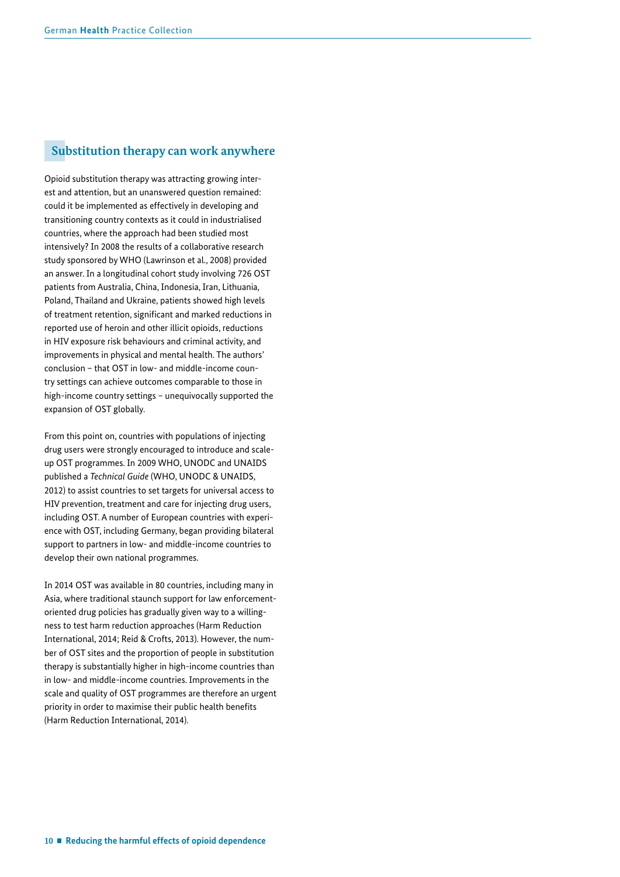## **Substitution therapy can work anywhere**

Opioid substitution therapy was attracting growing interest and attention, but an unanswered question remained: could it be implemented as effectively in developing and transitioning country contexts as it could in industrialised countries, where the approach had been studied most intensively? In 2008 the results of a collaborative research study sponsored by WHO (Lawrinson et al., 2008) provided an answer. In a longitudinal cohort study involving 726 OST patients from Australia, China, Indonesia, Iran, Lithuania, Poland, Thailand and Ukraine, patients showed high levels of treatment retention, significant and marked reductions in reported use of heroin and other illicit opioids, reductions in HIV exposure risk behaviours and criminal activity, and improvements in physical and mental health. The authors' conclusion – that OST in low- and middle-income country settings can achieve outcomes comparable to those in high-income country settings – unequivocally supported the expansion of OST globally.

From this point on, countries with populations of injecting drug users were strongly encouraged to introduce and scaleup OST programmes. In 2009 WHO, UNODC and UNAIDS published a *Technical Guide* (WHO, UNODC & UNAIDS, 2012) to assist countries to set targets for universal access to HIV prevention, treatment and care for injecting drug users, including OST. A number of European countries with experience with OST, including Germany, began providing bilateral support to partners in low- and middle-income countries to develop their own national programmes.

In 2014 OST was available in 80 countries, including many in Asia, where traditional staunch support for law enforcementoriented drug policies has gradually given way to a willingness to test harm reduction approaches (Harm Reduction International, 2014; Reid & Crofts, 2013). However, the number of OST sites and the proportion of people in substitution therapy is substantially higher in high-income countries than in low- and middle-income countries. Improvements in the scale and quality of OST programmes are therefore an urgent priority in order to maximise their public health benefits (Harm Reduction International, 2014).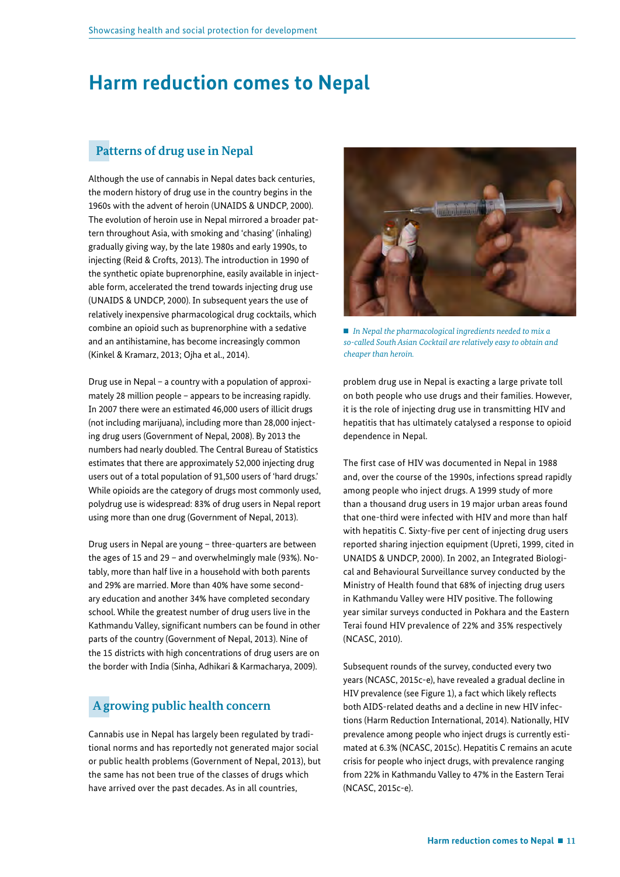## <span id="page-10-0"></span>**Harm reduction comes to Nepal**

## **Patterns of drug use in Nepal**

Although the use of cannabis in Nepal dates back centuries, the modern history of drug use in the country begins in the 1960s with the advent of heroin (UNAIDS & UNDCP, 2000). The evolution of heroin use in Nepal mirrored a broader pattern throughout Asia, with smoking and 'chasing' (inhaling) gradually giving way, by the late 1980s and early 1990s, to injecting (Reid & Crofts, 2013). The introduction in 1990 of the synthetic opiate buprenorphine, easily available in injectable form, accelerated the trend towards injecting drug use (UNAIDS & UNDCP, 2000). In subsequent years the use of relatively inexpensive pharmacological drug cocktails, which combine an opioid such as buprenorphine with a sedative and an antihistamine, has become increasingly common (Kinkel & Kramarz, 2013; Ojha et al., 2014).

Drug use in Nepal – a country with a population of approximately 28 million people – appears to be increasing rapidly. In 2007 there were an estimated 46,000 users of illicit drugs (not including marijuana), including more than 28,000 injecting drug users (Government of Nepal, 2008). By 2013 the numbers had nearly doubled. The Central Bureau of Statistics estimates that there are approximately 52,000 injecting drug users out of a total population of 91,500 users of 'hard drugs.' While opioids are the category of drugs most commonly used, polydrug use is widespread: 83% of drug users in Nepal report using more than one drug (Government of Nepal, 2013).

Drug users in Nepal are young – three-quarters are between the ages of 15 and 29 – and overwhelmingly male (93%). Notably, more than half live in a household with both parents and 29% are married. More than 40% have some secondary education and another 34% have completed secondary school. While the greatest number of drug users live in the Kathmandu Valley, significant numbers can be found in other parts of the country (Government of Nepal, 2013). Nine of the 15 districts with high concentrations of drug users are on the border with India (Sinha, Adhikari & Karmacharya, 2009).

## **A growing public health concern**

Cannabis use in Nepal has largely been regulated by traditional norms and has reportedly not generated major social or public health problems (Government of Nepal, 2013), but the same has not been true of the classes of drugs which have arrived over the past decades. As in all countries,



 *In Nepal the pharmacological ingredients needed to mix a so-called South Asian Cocktail are relatively easy to obtain and cheaper than heroin.* 

problem drug use in Nepal is exacting a large private toll on both people who use drugs and their families. However, it is the role of injecting drug use in transmitting HIV and hepatitis that has ultimately catalysed a response to opioid dependence in Nepal.

The first case of HIV was documented in Nepal in 1988 and, over the course of the 1990s, infections spread rapidly among people who inject drugs. A 1999 study of more than a thousand drug users in 19 major urban areas found that one-third were infected with HIV and more than half with hepatitis C. Sixty-five per cent of injecting drug users reported sharing injection equipment (Upreti, 1999, cited in UNAIDS & UNDCP, 2000). In 2002, an Integrated Biological and Behavioural Surveillance survey conducted by the Ministry of Health found that 68% of injecting drug users in Kathmandu Valley were HIV positive. The following year similar surveys conducted in Pokhara and the Eastern Terai found HIV prevalence of 22% and 35% respectively (NCASC, 2010).

Subsequent rounds of the survey, conducted every two years (NCASC, 2015c-e), have revealed a gradual decline in HIV prevalence (see Figure 1), a fact which likely reflects both AIDS-related deaths and a decline in new HIV infections (Harm Reduction International, 2014). Nationally, HIV prevalence among people who inject drugs is currently estimated at 6.3% (NCASC, 2015c). Hepatitis C remains an acute crisis for people who inject drugs, with prevalence ranging from 22% in Kathmandu Valley to 47% in the Eastern Terai (NCASC, 2015c-e).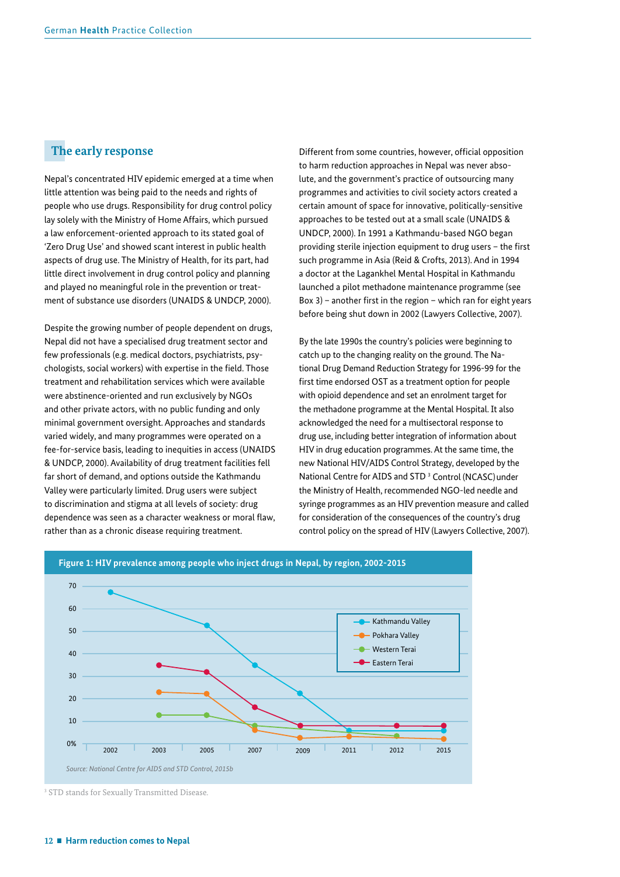## **The early response**

Nepal's concentrated HIV epidemic emerged at a time when little attention was being paid to the needs and rights of people who use drugs. Responsibility for drug control policy lay solely with the Ministry of Home Affairs, which pursued a law enforcement-oriented approach to its stated goal of 'Zero Drug Use' and showed scant interest in public health aspects of drug use. The Ministry of Health, for its part, had little direct involvement in drug control policy and planning and played no meaningful role in the prevention or treatment of substance use disorders (UNAIDS & UNDCP, 2000).

Despite the growing number of people dependent on drugs, Nepal did not have a specialised drug treatment sector and few professionals (e.g. medical doctors, psychiatrists, psychologists, social workers) with expertise in the field. Those treatment and rehabilitation services which were available were abstinence-oriented and run exclusively by NGOs and other private actors, with no public funding and only minimal government oversight. Approaches and standards varied widely, and many programmes were operated on a fee-for-service basis, leading to inequities in access (UNAIDS & UNDCP, 2000). Availability of drug treatment facilities fell far short of demand, and options outside the Kathmandu Valley were particularly limited. Drug users were subject to discrimination and stigma at all levels of society: drug dependence was seen as a character weakness or moral flaw, rather than as a chronic disease requiring treatment.

Different from some countries, however, official opposition to harm reduction approaches in Nepal was never absolute, and the government's practice of outsourcing many programmes and activities to civil society actors created a certain amount of space for innovative, politically-sensitive approaches to be tested out at a small scale (UNAIDS & UNDCP, 2000). In 1991 a Kathmandu-based NGO began providing sterile injection equipment to drug users - the first such programme in Asia (Reid & Crofts, 2013). And in 1994 a doctor at the Lagankhel Mental Hospital in Kathmandu launched a pilot methadone maintenance programme (see Box  $3$ ) – another first in the region – which ran for eight years before being shut down in 2002 (Lawyers Collective, 2007).

By the late 1990s the country's policies were beginning to catch up to the changing reality on the ground. The National Drug Demand Reduction Strategy for 1996-99 for the first time endorsed OST as a treatment option for people with opioid dependence and set an enrolment target for the methadone programme at the Mental Hospital. It also acknowledged the need for a multisectoral response to drug use, including better integration of information about HIV in drug education programmes. At the same time, the new National HIV/AIDS Control Strategy, developed by the National Centre for AIDS and STD<sup>3</sup> Control (NCASC) under the Ministry of Health, recommended NGO-led needle and syringe programmes as an HIV prevention measure and called for consideration of the consequences of the country's drug control policy on the spread of HIV (Lawyers Collective, 2007).



3 STD stands for Sexually Transmitted Disease.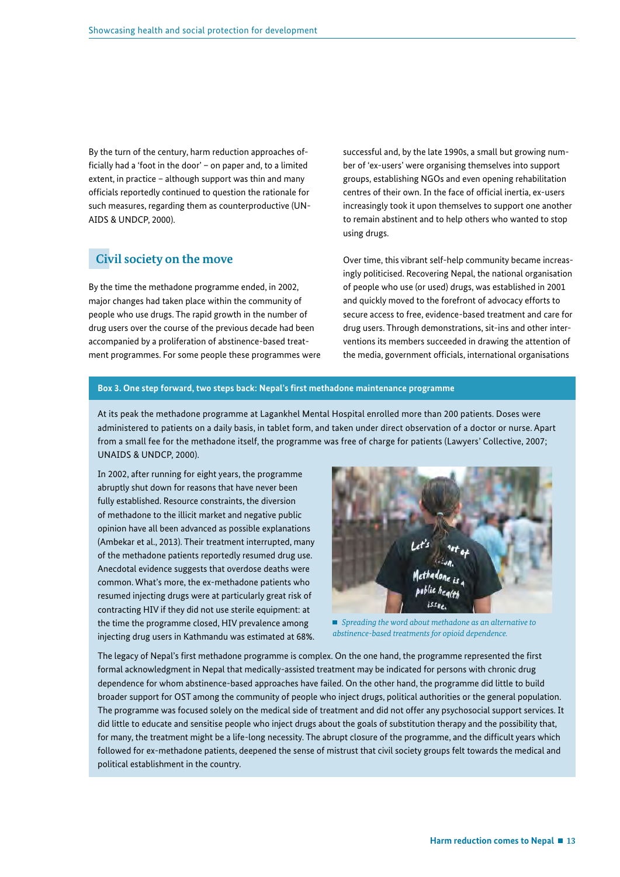By the turn of the century, harm reduction approaches officially had a 'foot in the door' - on paper and, to a limited extent, in practice – although support was thin and many officials reportedly continued to question the rationale for such measures, regarding them as counterproductive (UN-AIDS & UNDCP, 2000).

## **Civil society on the move**

By the time the methadone programme ended, in 2002, major changes had taken place within the community of people who use drugs. The rapid growth in the number of drug users over the course of the previous decade had been accompanied by a proliferation of abstinence-based treatment programmes. For some people these programmes were successful and, by the late 1990s, a small but growing number of 'ex-users' were organising themselves into support groups, establishing NGOs and even opening rehabilitation centres of their own. In the face of official inertia, ex-users increasingly took it upon themselves to support one another to remain abstinent and to help others who wanted to stop using drugs.

Over time, this vibrant self-help community became increasingly politicised. Recovering Nepal, the national organisation of people who use (or used) drugs, was established in 2001 and quickly moved to the forefront of advocacy efforts to secure access to free, evidence-based treatment and care for drug users. Through demonstrations, sit-ins and other interventions its members succeeded in drawing the attention of the media, government officials, international organisations

#### **Box 3. One step forward, two steps back: Nepal's frst methadone maintenance programme**

At its peak the methadone programme at Lagankhel Mental Hospital enrolled more than 200 patients. Doses were administered to patients on a daily basis, in tablet form, and taken under direct observation of a doctor or nurse. Apart from a small fee for the methadone itself, the programme was free of charge for patients (Lawyers' Collective, 2007; UNAIDS & UNDCP, 2000).

In 2002, after running for eight years, the programme abruptly shut down for reasons that have never been fully established. Resource constraints, the diversion of methadone to the illicit market and negative public opinion have all been advanced as possible explanations (Ambekar et al., 2013). Their treatment interrupted, many of the methadone patients reportedly resumed drug use. Anecdotal evidence suggests that overdose deaths were common. What's more, the ex-methadone patients who resumed injecting drugs were at particularly great risk of contracting HIV if they did not use sterile equipment: at the time the programme closed, HIV prevalence among injecting drug users in Kathmandu was estimated at 68%.



 *Spreading the word about methadone as an alternative to abstinence-based treatments for opioid dependence.*

The legacy of Nepal's frst methadone programme is complex. On the one hand, the programme represented the frst formal acknowledgment in Nepal that medically-assisted treatment may be indicated for persons with chronic drug dependence for whom abstinence-based approaches have failed. On the other hand, the programme did little to build broader support for OST among the community of people who inject drugs, political authorities or the general population. The programme was focused solely on the medical side of treatment and did not offer any psychosocial support services. It did little to educate and sensitise people who inject drugs about the goals of substitution therapy and the possibility that, for many, the treatment might be a life-long necessity. The abrupt closure of the programme, and the diffcult years which followed for ex-methadone patients, deepened the sense of mistrust that civil society groups felt towards the medical and political establishment in the country.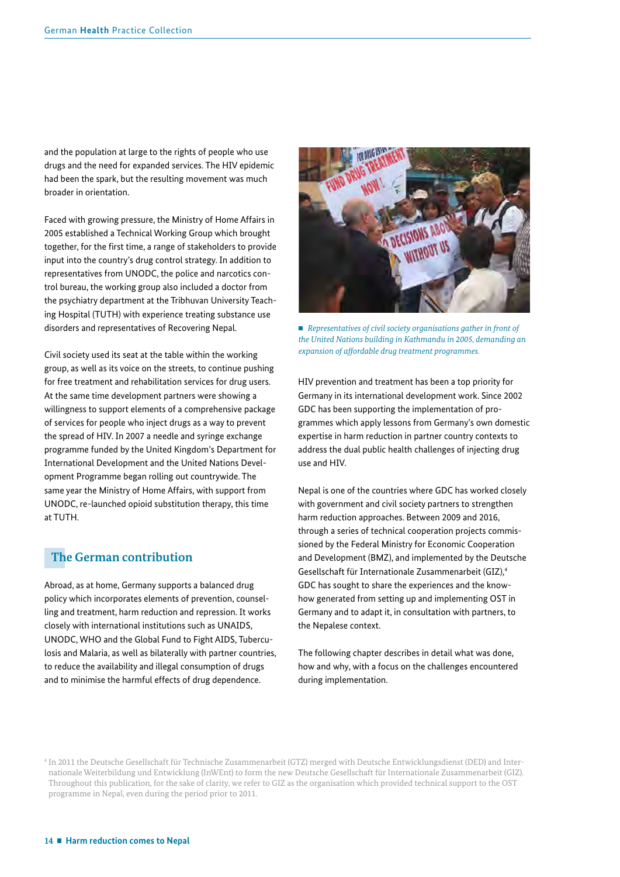<span id="page-13-0"></span>and the population at large to the rights of people who use drugs and the need for expanded services. The HIV epidemic had been the spark, but the resulting movement was much broader in orientation.

Faced with growing pressure, the Ministry of Home Affairs in 2005 established a Technical Working Group which brought together, for the first time, a range of stakeholders to provide input into the country's drug control strategy. In addition to representatives from UNODC, the police and narcotics control bureau, the working group also included a doctor from the psychiatry department at the Tribhuvan University Teaching Hospital (TUTH) with experience treating substance use disorders and representatives of Recovering Nepal.

Civil society used its seat at the table within the working group, as well as its voice on the streets, to continue pushing for free treatment and rehabilitation services for drug users. At the same time development partners were showing a willingness to support elements of a comprehensive package of services for people who inject drugs as a way to prevent the spread of HIV. In 2007 a needle and syringe exchange programme funded by the United Kingdom's Department for International Development and the United Nations Development Programme began rolling out countrywide. The same year the Ministry of Home Affairs, with support from UNODC, re-launched opioid substitution therapy, this time at TUTH.

## **The German contribution**

Abroad, as at home, Germany supports a balanced drug policy which incorporates elements of prevention, counselling and treatment, harm reduction and repression. It works closely with international institutions such as UNAIDS, UNODC, WHO and the Global Fund to Fight AIDS, Tuberculosis and Malaria, as well as bilaterally with partner countries, to reduce the availability and illegal consumption of drugs and to minimise the harmful effects of drug dependence.



■ Representatives of civil society organisations gather in front of *the United Nations building in Kathmandu in 2005, demanding an expansion of affordable drug treatment programmes.* 

HIV prevention and treatment has been a top priority for Germany in its international development work. Since 2002 GDC has been supporting the implementation of programmes which apply lessons from Germany's own domestic expertise in harm reduction in partner country contexts to address the dual public health challenges of injecting drug use and HIV.

Nepal is one of the countries where GDC has worked closely with government and civil society partners to strengthen harm reduction approaches. Between 2009 and 2016, through a series of technical cooperation projects commissioned by the Federal Ministry for Economic Cooperation and Development (BMZ), and implemented by the Deutsche Gesellschaft für Internationale Zusammenarbeit (GIZ),4 GDC has sought to share the experiences and the knowhow generated from setting up and implementing OST in Germany and to adapt it, in consultation with partners, to the Nepalese context.

The following chapter describes in detail what was done, how and why, with a focus on the challenges encountered during implementation.

<sup>4</sup> In 2011 the Deutsche Gesellschaft für Technische Zusammenarbeit (GTZ) merged with Deutsche Entwicklungsdienst (DED) and Internationale Weiterbildung und Entwicklung (InWEnt) to form the new Deutsche Gesellschaft für Internationale Zusammenarbeit (GIZ). Throughout this publication, for the sake of clarity, we refer to GIZ as the organisation which provided technical support to the OST programme in Nepal, even during the period prior to 2011.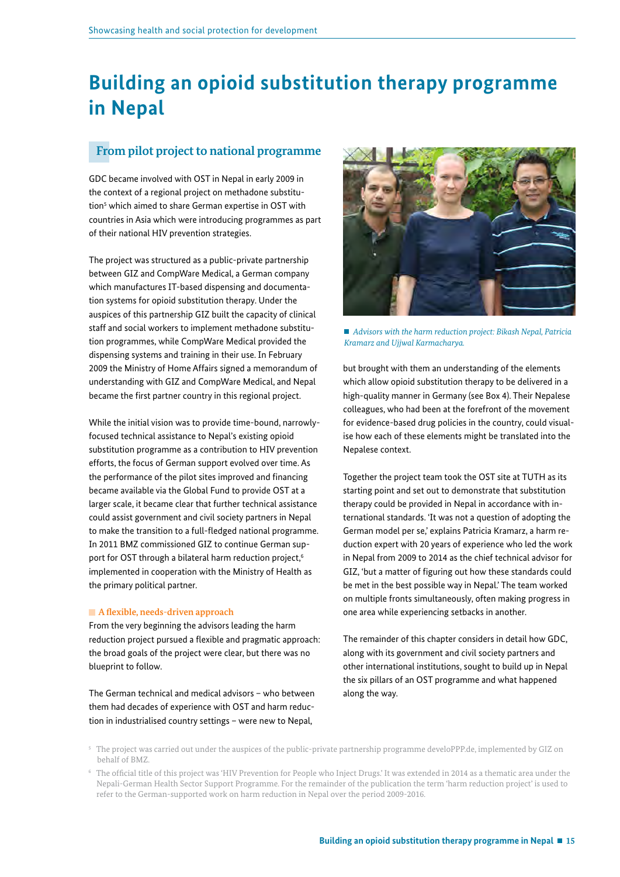## <span id="page-14-0"></span>**Building an opioid substitution therapy programme in Nepal**

## **From pilot project to national programme**

GDC became involved with OST in Nepal in early 2009 in the context of a regional project on methadone substitution<sup>5</sup> which aimed to share German expertise in OST with countries in Asia which were introducing programmes as part of their national HIV prevention strategies.

The project was structured as a public-private partnership between GIZ and CompWare Medical, a German company which manufactures IT-based dispensing and documentation systems for opioid substitution therapy. Under the auspices of this partnership GIZ built the capacity of clinical staff and social workers to implement methadone substitution programmes, while CompWare Medical provided the dispensing systems and training in their use. In February 2009 the Ministry of Home Affairs signed a memorandum of understanding with GIZ and CompWare Medical, and Nepal became the frst partner country in this regional project.

While the initial vision was to provide time-bound, narrowlyfocused technical assistance to Nepal's existing opioid substitution programme as a contribution to HIV prevention efforts, the focus of German support evolved over time. As the performance of the pilot sites improved and financing became available via the Global Fund to provide OST at a larger scale, it became clear that further technical assistance could assist government and civil society partners in Nepal to make the transition to a full-fedged national programme. In 2011 BMZ commissioned GIZ to continue German support for OST through a bilateral harm reduction project,<sup>6</sup> implemented in cooperation with the Ministry of Health as the primary political partner.

#### **A fexible, needs-driven approach**

From the very beginning the advisors leading the harm reduction project pursued a flexible and pragmatic approach: the broad goals of the project were clear, but there was no blueprint to follow.

The German technical and medical advisors – who between them had decades of experience with OST and harm reduction in industrialised country settings – were new to Nepal,



 *Advisors with the harm reduction project: Bikash Nepal, Patricia Kramarz and Ujjwal Karmacharya.* 

but brought with them an understanding of the elements which allow opioid substitution therapy to be delivered in a high-quality manner in Germany (see Box 4). Their Nepalese colleagues, who had been at the forefront of the movement for evidence-based drug policies in the country, could visualise how each of these elements might be translated into the Nepalese context.

Together the project team took the OST site at TUTH as its starting point and set out to demonstrate that substitution therapy could be provided in Nepal in accordance with international standards. 'It was not a question of adopting the German model per se,' explains Patricia Kramarz, a harm reduction expert with 20 years of experience who led the work in Nepal from 2009 to 2014 as the chief technical advisor for GIZ, 'but a matter of fguring out how these standards could be met in the best possible way in Nepal.' The team worked on multiple fronts simultaneously, often making progress in one area while experiencing setbacks in another.

The remainder of this chapter considers in detail how GDC, along with its government and civil society partners and other international institutions, sought to build up in Nepal the six pillars of an OST programme and what happened along the way.

5 The project was carried out under the auspices of the public-private partnership programme develoPPP.de, implemented by GIZ on behalf of BMZ.

6 The offcial title of this project was 'HIV Prevention for People who Inject Drugs.' It was extended in 2014 as a thematic area under the Nepali-German Health Sector Support Programme. For the remainder of the publication the term 'harm reduction project' is used to refer to the German-supported work on harm reduction in Nepal over the period 2009-2016.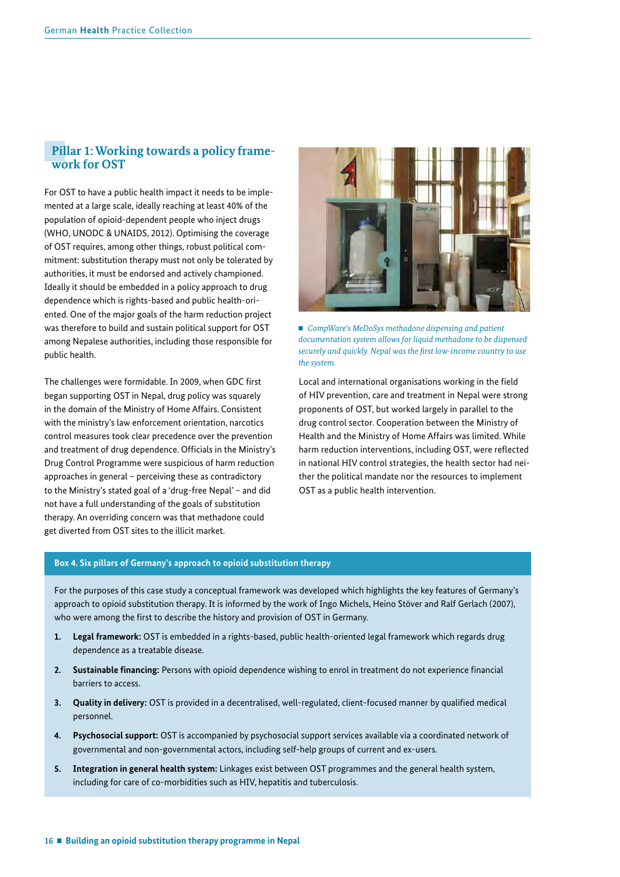## **Pillar 1: Working towards a policy frame work for OST**

For OST to have a public health impact it needs to be implemented at a large scale, ideally reaching at least 40% of the population of opioid-dependent people who inject drugs (WHO, UNODC & UNAIDS, 2012). Optimising the coverage of OST requires, among other things, robust political commitment: substitution therapy must not only be tolerated by authorities, it must be endorsed and actively championed. Ideally it should be embedded in a policy approach to drug dependence which is rights-based and public health-oriented. One of the major goals of the harm reduction project was therefore to build and sustain political support for OST among Nepalese authorities, including those responsible for public health.

The challenges were formidable. In 2009, when GDC first began supporting OST in Nepal, drug policy was squarely in the domain of the Ministry of Home Affairs. Consistent with the ministry's law enforcement orientation, narcotics control measures took clear precedence over the prevention and treatment of drug dependence. Officials in the Ministry's Drug Control Programme were suspicious of harm reduction approaches in general – perceiving these as contradictory to the Ministry's stated goal of a 'drug-free Nepal' – and did not have a full understanding of the goals of substitution therapy. An overriding concern was that methadone could get diverted from OST sites to the illicit market.



■ *CompWare's MeDoSys methadone dispensing and patient documentation system allows for liquid methadone to be dispensed securely and quickly. Nepal was the frst low-income country to use the system.*

Local and international organisations working in the field of HIV prevention, care and treatment in Nepal were strong proponents of OST, but worked largely in parallel to the drug control sector. Cooperation between the Ministry of Health and the Ministry of Home Affairs was limited. While harm reduction interventions, including OST, were reflected in national HIV control strategies, the health sector had neither the political mandate nor the resources to implement OST as a public health intervention.

#### **Box 4. Six pillars of Germany's approach to opioid substitution therapy**

For the purposes of this case study a conceptual framework was developed which highlights the key features of Germany's approach to opioid substitution therapy. It is informed by the work of Ingo Michels, Heino Stöver and Ralf Gerlach (2007), who were among the first to describe the history and provision of OST in Germany.

- **1. Legal framework:** OST is embedded in a rights-based, public health-oriented legal framework which regards drug dependence as a treatable disease.
- **2. Sustainable fnancing:** Persons with opioid dependence wishing to enrol in treatment do not experience fnancial barriers to access.
- **3. Quality in delivery:** OST is provided in a decentralised, well-regulated, client-focused manner by qualifed medical personnel.
- **4. Psychosocial support:** OST is accompanied by psychosocial support services available via a coordinated network of governmental and non-governmental actors, including self-help groups of current and ex-users.
- **5. Integration in general health system:** Linkages exist between OST programmes and the general health system, including for care of co-morbidities such as HIV, hepatitis and tuberculosis.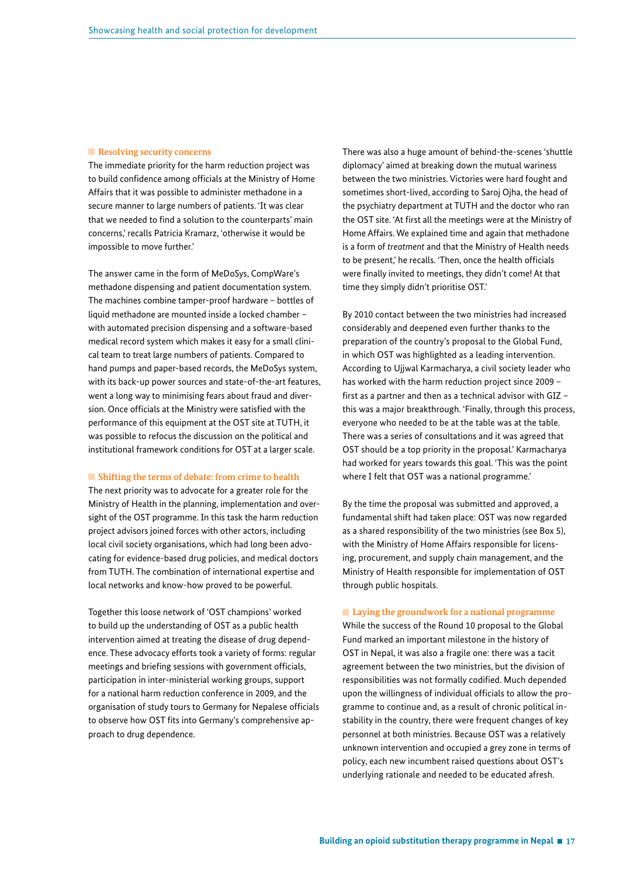#### **Resolving security concerns**

The immediate priority for the harm reduction project was to build confidence among officials at the Ministry of Home Affairs that it was possible to administer methadone in a secure manner to large numbers of patients. 'It was clear that we needed to find a solution to the counterparts' main concerns,' recalls Patricia Kramarz, 'otherwise it would be impossible to move further.'

The answer came in the form of MeDoSys, CompWare's methadone dispensing and patient documentation system. The machines combine tamper-proof hardware – bottles of liquid methadone are mounted inside a locked chamber – with automated precision dispensing and a software-based medical record system which makes it easy for a small clinical team to treat large numbers of patients. Compared to hand pumps and paper-based records, the MeDoSys system, with its back-up power sources and state-of-the-art features, went a long way to minimising fears about fraud and diversion. Once officials at the Ministry were satisfied with the performance of this equipment at the OST site at TUTH, it was possible to refocus the discussion on the political and institutional framework conditions for OST at a larger scale.

#### **Shifting the terms of debate: from crime to health**

The next priority was to advocate for a greater role for the Ministry of Health in the planning, implementation and oversight of the OST programme. In this task the harm reduction project advisors joined forces with other actors, including local civil society organisations, which had long been advocating for evidence-based drug policies, and medical doctors from TUTH. The combination of international expertise and local networks and know-how proved to be powerful.

Together this loose network of 'OST champions' worked to build up the understanding of OST as a public health intervention aimed at treating the disease of drug dependence. These advocacy efforts took a variety of forms: regular meetings and briefing sessions with government officials, participation in inter-ministerial working groups, support for a national harm reduction conference in 2009, and the organisation of study tours to Germany for Nepalese officials to observe how OST fits into Germany's comprehensive approach to drug dependence.

There was also a huge amount of behind-the-scenes 'shuttle diplomacy' aimed at breaking down the mutual wariness between the two ministries. Victories were hard fought and sometimes short-lived, according to Saroj Ojha, the head of the psychiatry department at TUTH and the doctor who ran the OST site. 'At first all the meetings were at the Ministry of Home Affairs. We explained time and again that methadone is a form of *treatment* and that the Ministry of Health needs to be present,' he recalls. 'Then, once the health officials were finally invited to meetings, they didn't come! At that time they simply didn't prioritise OST.'

By 2010 contact between the two ministries had increased considerably and deepened even further thanks to the preparation of the country's proposal to the Global Fund, in which OST was highlighted as a leading intervention. According to Ujjwal Karmacharya, a civil society leader who has worked with the harm reduction project since 2009 – frst as a partner and then as a technical advisor with GIZ – this was a major breakthrough. 'Finally, through this process, everyone who needed to be at the table was at the table. There was a series of consultations and it was agreed that OST should be a top priority in the proposal.' Karmacharya had worked for years towards this goal. 'This was the point where I felt that OST was a national programme.'

By the time the proposal was submitted and approved, a fundamental shift had taken place: OST was now regarded as a shared responsibility of the two ministries (see Box 5), with the Ministry of Home Affairs responsible for licensing, procurement, and supply chain management, and the Ministry of Health responsible for implementation of OST through public hospitals.

#### **Laying the groundwork for a national programme**

While the success of the Round 10 proposal to the Global Fund marked an important milestone in the history of OST in Nepal, it was also a fragile one: there was a tacit agreement between the two ministries, but the division of responsibilities was not formally codifed. Much depended upon the willingness of individual officials to allow the programme to continue and, as a result of chronic political instability in the country, there were frequent changes of key personnel at both ministries. Because OST was a relatively unknown intervention and occupied a grey zone in terms of policy, each new incumbent raised questions about OST's underlying rationale and needed to be educated afresh.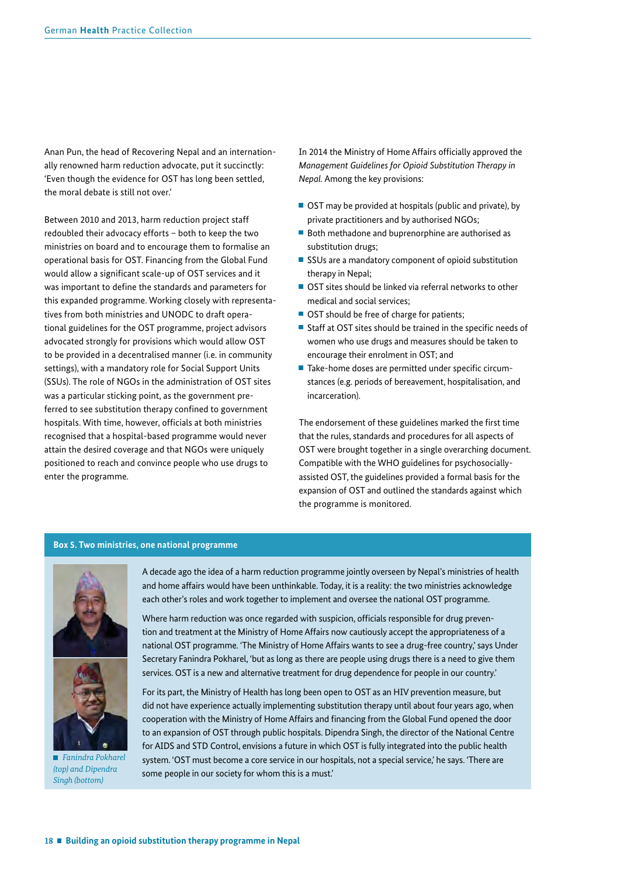Anan Pun, the head of Recovering Nepal and an internationally renowned harm reduction advocate, put it succinctly: 'Even though the evidence for OST has long been settled, the moral debate is still not over.'

Between 2010 and 2013, harm reduction project staff redoubled their advocacy efforts – both to keep the two ministries on board and to encourage them to formalise an operational basis for OST. Financing from the Global Fund would allow a significant scale-up of OST services and it was important to define the standards and parameters for this expanded programme. Working closely with representatives from both ministries and UNODC to draft operational guidelines for the OST programme, project advisors advocated strongly for provisions which would allow OST to be provided in a decentralised manner (i.e. in community settings), with a mandatory role for Social Support Units (SSUs). The role of NGOs in the administration of OST sites was a particular sticking point, as the government preferred to see substitution therapy confined to government hospitals. With time, however, officials at both ministries recognised that a hospital-based programme would never attain the desired coverage and that NGOs were uniquely positioned to reach and convince people who use drugs to enter the programme.

In 2014 the Ministry of Home Affairs officially approved the *Management Guidelines for Opioid Substitution Therapy in Nepal.* Among the key provisions:

- OST may be provided at hospitals (public and private), by private practitioners and by authorised NGOs;
- Both methadone and buprenorphine are authorised as substitution drugs;
- SSUs are a mandatory component of opioid substitution therapy in Nepal;
- OST sites should be linked via referral networks to other medical and social services;
- OST should be free of charge for patients;
- $\blacksquare$  Staff at OST sites should be trained in the specific needs of women who use drugs and measures should be taken to encourage their enrolment in OST; and
- Take-home doses are permitted under specific circumstances (e.g. periods of bereavement, hospitalisation, and incarceration).

The endorsement of these guidelines marked the first time that the rules, standards and procedures for all aspects of OST were brought together in a single overarching document. Compatible with the WHO guidelines for psychosociallyassisted OST, the guidelines provided a formal basis for the expansion of OST and outlined the standards against which the programme is monitored.

#### **Box 5. Two ministries, one national programme**





 *Fanindra Pokharel (top) and Dipendra Singh (bottom)* 

A decade ago the idea of a harm reduction programme jointly overseen by Nepal's ministries of health and home affairs would have been unthinkable. Today, it is a reality: the two ministries acknowledge each other's roles and work together to implement and oversee the national OST programme.

Where harm reduction was once regarded with suspicion, officials responsible for drug prevention and treatment at the Ministry of Home Affairs now cautiously accept the appropriateness of a national OST programme. 'The Ministry of Home Affairs wants to see a drug-free country,' says Under Secretary Fanindra Pokharel, 'but as long as there are people using drugs there is a need to give them services. OST is a new and alternative treatment for drug dependence for people in our country.'

For its part, the Ministry of Health has long been open to OST as an HIV prevention measure, but did not have experience actually implementing substitution therapy until about four years ago, when cooperation with the Ministry of Home Affairs and financing from the Global Fund opened the door to an expansion of OST through public hospitals. Dipendra Singh, the director of the National Centre for AIDS and STD Control, envisions a future in which OST is fully integrated into the public health system. 'OST must become a core service in our hospitals, not a special service,' he says. 'There are some people in our society for whom this is a must.'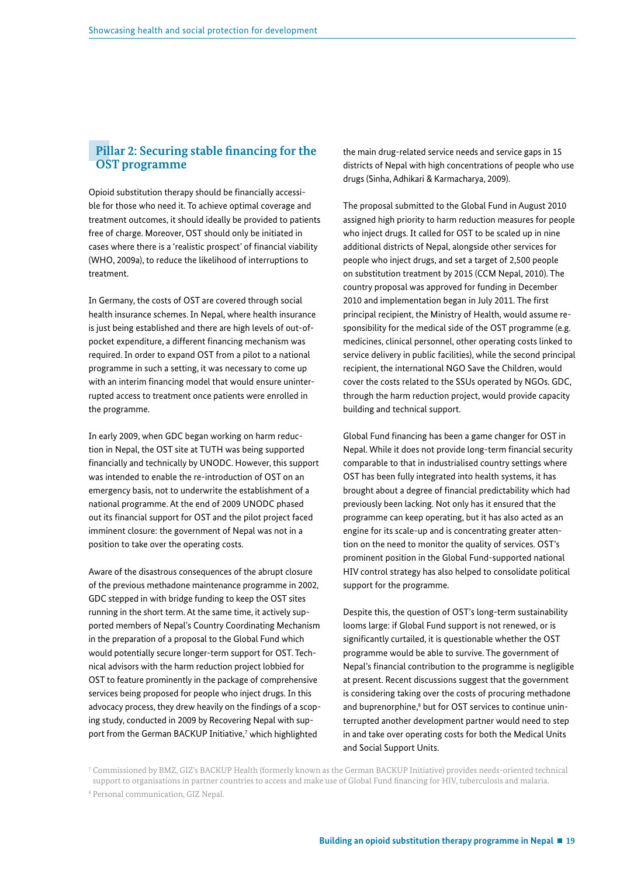### **Pillar 2: Securing stable fnancing for the OST programme**

Opioid substitution therapy should be fnancially accessible for those who need it. To achieve optimal coverage and treatment outcomes, it should ideally be provided to patients free of charge. Moreover, OST should only be initiated in cases where there is a 'realistic prospect' of fnancial viability (WHO, 2009a), to reduce the likelihood of interruptions to treatment.

In Germany, the costs of OST are covered through social health insurance schemes. In Nepal, where health insurance is just being established and there are high levels of out-ofpocket expenditure, a different fnancing mechanism was required. In order to expand OST from a pilot to a national programme in such a setting, it was necessary to come up with an interim financing model that would ensure uninterrupted access to treatment once patients were enrolled in the programme.

In early 2009, when GDC began working on harm reduction in Nepal, the OST site at TUTH was being supported fnancially and technically by UNODC. However, this support was intended to enable the re-introduction of OST on an emergency basis, not to underwrite the establishment of a national programme. At the end of 2009 UNODC phased out its fnancial support for OST and the pilot project faced imminent closure: the government of Nepal was not in a position to take over the operating costs.

Aware of the disastrous consequences of the abrupt closure of the previous methadone maintenance programme in 2002, GDC stepped in with bridge funding to keep the OST sites running in the short term. At the same time, it actively supported members of Nepal's Country Coordinating Mechanism in the preparation of a proposal to the Global Fund which would potentially secure longer-term support for OST. Technical advisors with the harm reduction project lobbied for OST to feature prominently in the package of comprehensive services being proposed for people who inject drugs. In this advocacy process, they drew heavily on the findings of a scoping study, conducted in 2009 by Recovering Nepal with support from the German BACKUP Initiative,<sup>7</sup> which highlighted

the main drug-related service needs and service gaps in 15 districts of Nepal with high concentrations of people who use drugs (Sinha, Adhikari & Karmacharya, 2009).

The proposal submitted to the Global Fund in August 2010 assigned high priority to harm reduction measures for people who inject drugs. It called for OST to be scaled up in nine additional districts of Nepal, alongside other services for people who inject drugs, and set a target of 2,500 people on substitution treatment by 2015 (CCM Nepal, 2010). The country proposal was approved for funding in December 2010 and implementation began in July 2011. The first principal recipient, the Ministry of Health, would assume responsibility for the medical side of the OST programme (e.g. medicines, clinical personnel, other operating costs linked to service delivery in public facilities), while the second principal recipient, the international NGO Save the Children, would cover the costs related to the SSUs operated by NGOs. GDC, through the harm reduction project, would provide capacity building and technical support.

Global Fund financing has been a game changer for OST in Nepal. While it does not provide long-term financial security comparable to that in industrialised country settings where OST has been fully integrated into health systems, it has brought about a degree of fnancial predictability which had previously been lacking. Not only has it ensured that the programme can keep operating, but it has also acted as an engine for its scale-up and is concentrating greater attention on the need to monitor the quality of services. OST's prominent position in the Global Fund-supported national HIV control strategy has also helped to consolidate political support for the programme.

Despite this, the question of OST's long-term sustainability looms large: if Global Fund support is not renewed, or is signifcantly curtailed, it is questionable whether the OST programme would be able to survive. The government of Nepal's fnancial contribution to the programme is negligible at present. Recent discussions suggest that the government is considering taking over the costs of procuring methadone and buprenorphine,<sup>8</sup> but for OST services to continue uninterrupted another development partner would need to step in and take over operating costs for both the Medical Units and Social Support Units.

7 Commissioned by BMZ, GIZ's BACKUP Health (formerly known as the German BACKUP Initiative) provides needs-oriented technical support to organisations in partner countries to access and make use of Global Fund fnancing for HIV, tuberculosis and malaria. 8 Personal communication, GIZ Nepal.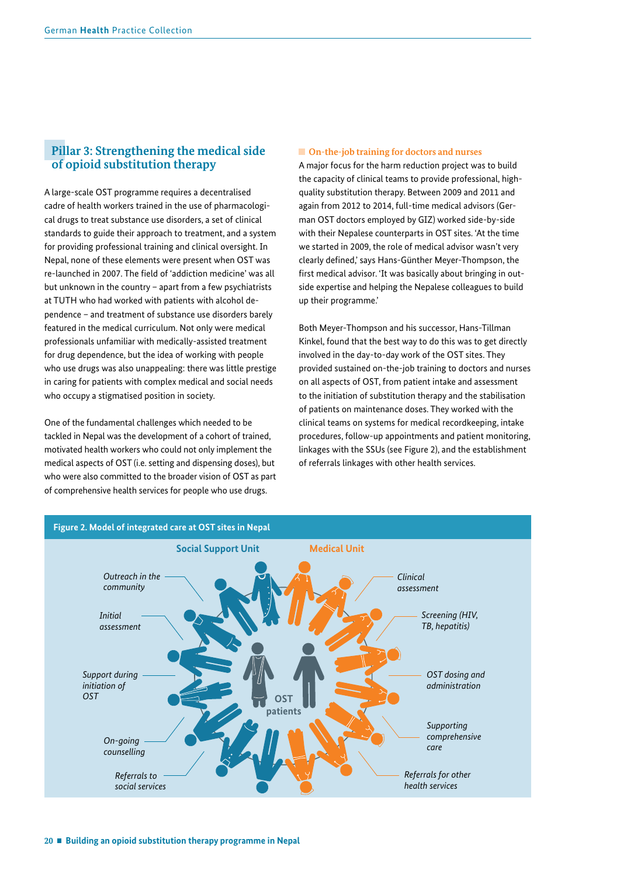## **Pillar 3: Strengthening the medical side of opioid substitution therapy**

A large-scale OST programme requires a decentralised cadre of health workers trained in the use of pharmacological drugs to treat substance use disorders, a set of clinical standards to guide their approach to treatment, and a system for providing professional training and clinical oversight. In Nepal, none of these elements were present when OST was re-launched in 2007. The field of 'addiction medicine' was all but unknown in the country – apart from a few psychiatrists at TUTH who had worked with patients with alcohol dependence – and treatment of substance use disorders barely featured in the medical curriculum. Not only were medical professionals unfamiliar with medically-assisted treatment for drug dependence, but the idea of working with people who use drugs was also unappealing: there was little prestige in caring for patients with complex medical and social needs who occupy a stigmatised position in society.

One of the fundamental challenges which needed to be tackled in Nepal was the development of a cohort of trained, motivated health workers who could not only implement the medical aspects of OST (i.e. setting and dispensing doses), but who were also committed to the broader vision of OST as part of comprehensive health services for people who use drugs.

#### ■ On-the-job training for doctors and nurses

A major focus for the harm reduction project was to build the capacity of clinical teams to provide professional, highquality substitution therapy. Between 2009 and 2011 and again from 2012 to 2014, full-time medical advisors (German OST doctors employed by GIZ) worked side-by-side with their Nepalese counterparts in OST sites. 'At the time we started in 2009, the role of medical advisor wasn't very clearly defned,' says Hans-Günther Meyer-Thompson, the first medical advisor. 'It was basically about bringing in outside expertise and helping the Nepalese colleagues to build up their programme.'

Both Meyer-Thompson and his successor, Hans-Tillman Kinkel, found that the best way to do this was to get directly involved in the day-to-day work of the OST sites. They provided sustained on-the-job training to doctors and nurses on all aspects of OST, from patient intake and assessment to the initiation of substitution therapy and the stabilisation of patients on maintenance doses. They worked with the clinical teams on systems for medical recordkeeping, intake procedures, follow-up appointments and patient monitoring, linkages with the SSUs (see Figure 2), and the establishment of referrals linkages with other health services.

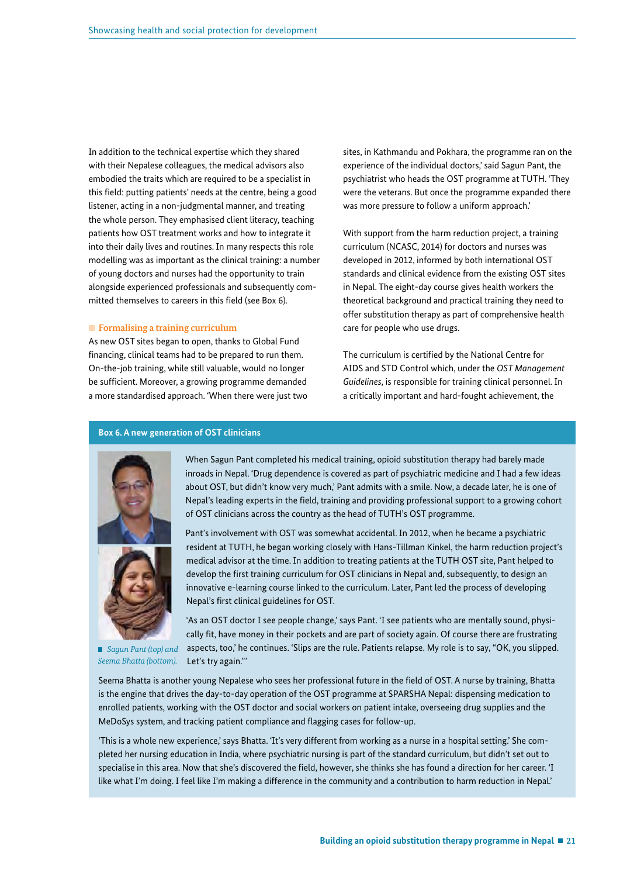In addition to the technical expertise which they shared with their Nepalese colleagues, the medical advisors also embodied the traits which are required to be a specialist in this field: putting patients' needs at the centre, being a good listener, acting in a non-judgmental manner, and treating the whole person. They emphasised client literacy, teaching patients how OST treatment works and how to integrate it into their daily lives and routines. In many respects this role modelling was as important as the clinical training: a number of young doctors and nurses had the opportunity to train alongside experienced professionals and subsequently committed themselves to careers in this field (see Box 6).

#### **Formalising a training curriculum**

As new OST sites began to open, thanks to Global Fund fnancing, clinical teams had to be prepared to run them. On-the-job training, while still valuable, would no longer be sufficient. Moreover, a growing programme demanded a more standardised approach. 'When there were just two sites, in Kathmandu and Pokhara, the programme ran on the experience of the individual doctors,' said Sagun Pant, the psychiatrist who heads the OST programme at TUTH. 'They were the veterans. But once the programme expanded there was more pressure to follow a uniform approach.'

With support from the harm reduction project, a training curriculum (NCASC, 2014) for doctors and nurses was developed in 2012, informed by both international OST standards and clinical evidence from the existing OST sites in Nepal. The eight-day course gives health workers the theoretical background and practical training they need to offer substitution therapy as part of comprehensive health care for people who use drugs.

The curriculum is certifed by the National Centre for AIDS and STD Control which, under the *OST Management Guidelines*, is responsible for training clinical personnel. In a critically important and hard-fought achievement, the

#### **Box 6. A new generation of OST clinicians**





 *Sagun Pant (top) and Seema Bhatta (bottom).* 

When Sagun Pant completed his medical training, opioid substitution therapy had barely made inroads in Nepal. 'Drug dependence is covered as part of psychiatric medicine and I had a few ideas about OST, but didn't know very much,' Pant admits with a smile. Now, a decade later, he is one of Nepal's leading experts in the field, training and providing professional support to a growing cohort of OST clinicians across the country as the head of TUTH's OST programme.

Pant's involvement with OST was somewhat accidental. In 2012, when he became a psychiatric resident at TUTH, he began working closely with Hans-Tillman Kinkel, the harm reduction project's medical advisor at the time. In addition to treating patients at the TUTH OST site, Pant helped to develop the frst training curriculum for OST clinicians in Nepal and, subsequently, to design an innovative e-learning course linked to the curriculum. Later, Pant led the process of developing Nepal's frst clinical guidelines for OST.

'As an OST doctor I see people change,' says Pant. 'I see patients who are mentally sound, physically ft, have money in their pockets and are part of society again. Of course there are frustrating aspects, too,' he continues. 'Slips are the rule. Patients relapse. My role is to say, "OK, you slipped. Let's try again."'

Seema Bhatta is another young Nepalese who sees her professional future in the feld of OST. A nurse by training, Bhatta is the engine that drives the day-to-day operation of the OST programme at SPARSHA Nepal: dispensing medication to enrolled patients, working with the OST doctor and social workers on patient intake, overseeing drug supplies and the MeDoSys system, and tracking patient compliance and fagging cases for follow-up.

'This is a whole new experience,' says Bhatta. 'It's very different from working as a nurse in a hospital setting.' She completed her nursing education in India, where psychiatric nursing is part of the standard curriculum, but didn't set out to specialise in this area. Now that she's discovered the feld, however, she thinks she has found a direction for her career. 'I like what I'm doing. I feel like I'm making a difference in the community and a contribution to harm reduction in Nepal.'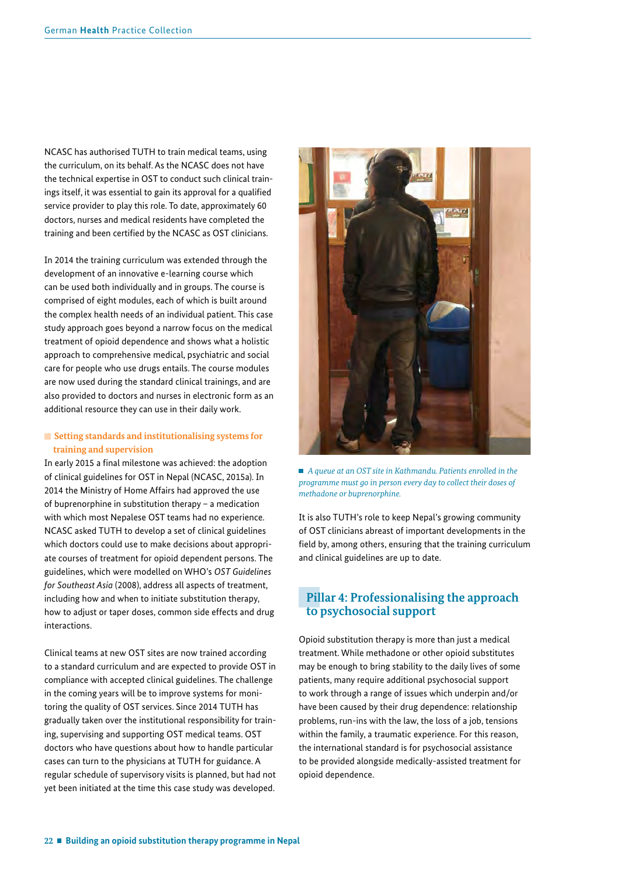NCASC has authorised TUTH to train medical teams, using the curriculum, on its behalf. As the NCASC does not have the technical expertise in OST to conduct such clinical trainings itself, it was essential to gain its approval for a qualifed service provider to play this role. To date, approximately 60 doctors, nurses and medical residents have completed the training and been certifed by the NCASC as OST clinicians.

In 2014 the training curriculum was extended through the development of an innovative e-learning course which can be used both individually and in groups. The course is comprised of eight modules, each of which is built around the complex health needs of an individual patient. This case study approach goes beyond a narrow focus on the medical treatment of opioid dependence and shows what a holistic approach to comprehensive medical, psychiatric and social care for people who use drugs entails. The course modules are now used during the standard clinical trainings, and are also provided to doctors and nurses in electronic form as an additional resource they can use in their daily work.

#### **Exercise Setting standards and institutionalising systems for training and supervision**

In early 2015 a final milestone was achieved: the adoption of clinical guidelines for OST in Nepal (NCASC, 2015a). In 2014 the Ministry of Home Affairs had approved the use of buprenorphine in substitution therapy – a medication with which most Nepalese OST teams had no experience. NCASC asked TUTH to develop a set of clinical guidelines which doctors could use to make decisions about appropriate courses of treatment for opioid dependent persons. The guidelines, which were modelled on WHO's *OST Guidelines for Southeast Asia* (2008), address all aspects of treatment, including how and when to initiate substitution therapy, how to adjust or taper doses, common side effects and drug interactions.

Clinical teams at new OST sites are now trained according to a standard curriculum and are expected to provide OST in compliance with accepted clinical guidelines. The challenge in the coming years will be to improve systems for monitoring the quality of OST services. Since 2014 TUTH has gradually taken over the institutional responsibility for training, supervising and supporting OST medical teams. OST doctors who have questions about how to handle particular cases can turn to the physicians at TUTH for guidance. A regular schedule of supervisory visits is planned, but had not yet been initiated at the time this case study was developed.



■ *A queue at an OST site in Kathmandu. Patients enrolled in the programme must go in person every day to collect their doses of methadone or buprenorphine.* 

It is also TUTH's role to keep Nepal's growing community of OST clinicians abreast of important developments in the feld by, among others, ensuring that the training curriculum and clinical guidelines are up to date.

## **Pillar 4: Professionalising the approach to psychosocial support**

Opioid substitution therapy is more than just a medical treatment. While methadone or other opioid substitutes may be enough to bring stability to the daily lives of some patients, many require additional psychosocial support to work through a range of issues which underpin and/or have been caused by their drug dependence: relationship problems, run-ins with the law, the loss of a job, tensions within the family, a traumatic experience. For this reason, the international standard is for psychosocial assistance to be provided alongside medically-assisted treatment for opioid dependence.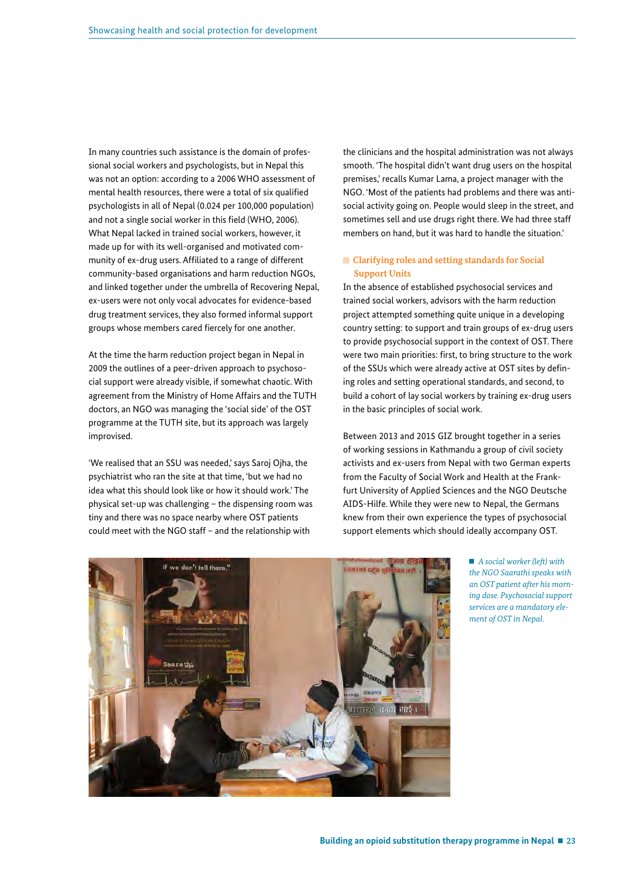In many countries such assistance is the domain of professional social workers and psychologists, but in Nepal this was not an option: according to a 2006 WHO assessment of mental health resources, there were a total of six qualifed psychologists in all of Nepal (0.024 per 100,000 population) and not a single social worker in this field (WHO, 2006). What Nepal lacked in trained social workers, however, it made up for with its well-organised and motivated community of ex-drug users. Affliated to a range of different community-based organisations and harm reduction NGOs, and linked together under the umbrella of Recovering Nepal, ex-users were not only vocal advocates for evidence-based drug treatment services, they also formed informal support groups whose members cared fiercely for one another.

At the time the harm reduction project began in Nepal in 2009 the outlines of a peer-driven approach to psychosocial support were already visible, if somewhat chaotic. With agreement from the Ministry of Home Affairs and the TUTH doctors, an NGO was managing the 'social side' of the OST programme at the TUTH site, but its approach was largely improvised.

'We realised that an SSU was needed,' says Saroj Ojha, the psychiatrist who ran the site at that time, 'but we had no idea what this should look like or how it should work.' The physical set-up was challenging – the dispensing room was tiny and there was no space nearby where OST patients could meet with the NGO staff – and the relationship with

the clinicians and the hospital administration was not always smooth. 'The hospital didn't want drug users on the hospital premises,' recalls Kumar Lama, a project manager with the NGO. 'Most of the patients had problems and there was antisocial activity going on. People would sleep in the street, and sometimes sell and use drugs right there. We had three staff members on hand, but it was hard to handle the situation.'

#### **Clarifying roles and setting standards for Social Support Units**

In the absence of established psychosocial services and trained social workers, advisors with the harm reduction project attempted something quite unique in a developing country setting: to support and train groups of ex-drug users to provide psychosocial support in the context of OST. There were two main priorities: first, to bring structure to the work of the SSUs which were already active at OST sites by defning roles and setting operational standards, and second, to build a cohort of lay social workers by training ex-drug users in the basic principles of social work.

Between 2013 and 2015 GIZ brought together in a series of working sessions in Kathmandu a group of civil society activists and ex-users from Nepal with two German experts from the Faculty of Social Work and Health at the Frankfurt University of Applied Sciences and the NGO Deutsche AIDS-Hilfe. While they were new to Nepal, the Germans knew from their own experience the types of psychosocial support elements which should ideally accompany OST.



 *A social worker (left) with the NGO Saarathi speaks with an OST patient after his morning dose. Psychosocial support services are a mandatory element of OST in Nepal.*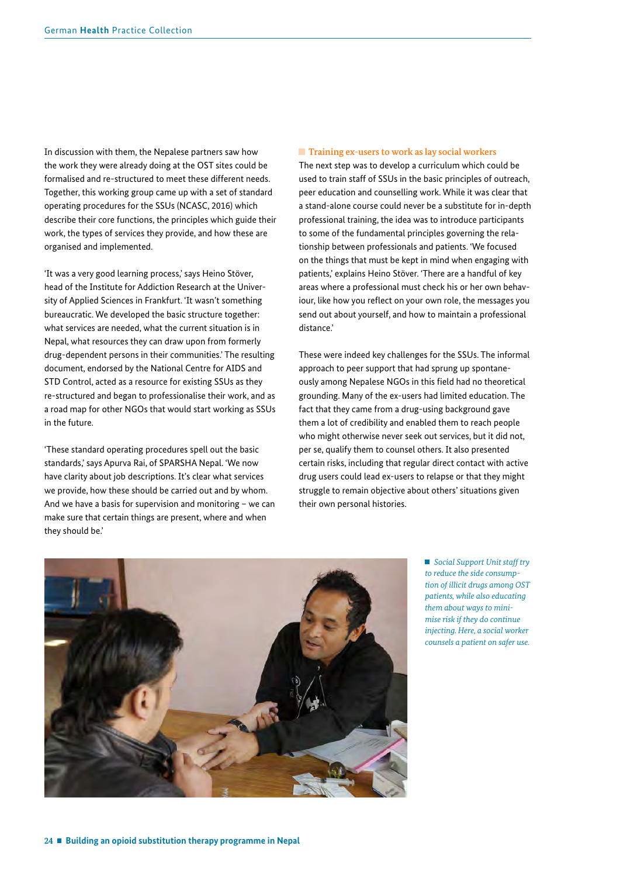In discussion with them, the Nepalese partners saw how the work they were already doing at the OST sites could be formalised and re-structured to meet these different needs. Together, this working group came up with a set of standard operating procedures for the SSUs (NCASC, 2016) which describe their core functions, the principles which guide their work, the types of services they provide, and how these are organised and implemented.

'It was a very good learning process,' says Heino Stöver, head of the Institute for Addiction Research at the University of Applied Sciences in Frankfurt. 'It wasn't something bureaucratic. We developed the basic structure together: what services are needed, what the current situation is in Nepal, what resources they can draw upon from formerly drug-dependent persons in their communities.' The resulting document, endorsed by the National Centre for AIDS and STD Control, acted as a resource for existing SSUs as they re-structured and began to professionalise their work, and as a road map for other NGOs that would start working as SSUs in the future.

'These standard operating procedures spell out the basic standards,' says Apurva Rai, of SPARSHA Nepal. 'We now have clarity about job descriptions. It's clear what services we provide, how these should be carried out and by whom. And we have a basis for supervision and monitoring – we can make sure that certain things are present, where and when they should be.'

#### **Training ex-users to work as lay social workers**

The next step was to develop a curriculum which could be used to train staff of SSUs in the basic principles of outreach, peer education and counselling work. While it was clear that a stand-alone course could never be a substitute for in-depth professional training, the idea was to introduce participants to some of the fundamental principles governing the relationship between professionals and patients. 'We focused on the things that must be kept in mind when engaging with patients,' explains Heino Stöver. 'There are a handful of key areas where a professional must check his or her own behaviour, like how you reflect on your own role, the messages you send out about yourself, and how to maintain a professional distance.'

These were indeed key challenges for the SSUs. The informal approach to peer support that had sprung up spontaneously among Nepalese NGOs in this field had no theoretical grounding. Many of the ex-users had limited education. The fact that they came from a drug-using background gave them a lot of credibility and enabled them to reach people who might otherwise never seek out services, but it did not, per se, qualify them to counsel others. It also presented certain risks, including that regular direct contact with active drug users could lead ex-users to relapse or that they might struggle to remain objective about others' situations given their own personal histories.



 *Social Support Unit staff try to reduce the side consumption of illicit drugs among OST patients, while also educating them about ways to minimise risk if they do continue injecting. Here, a social worker counsels a patient on safer use.*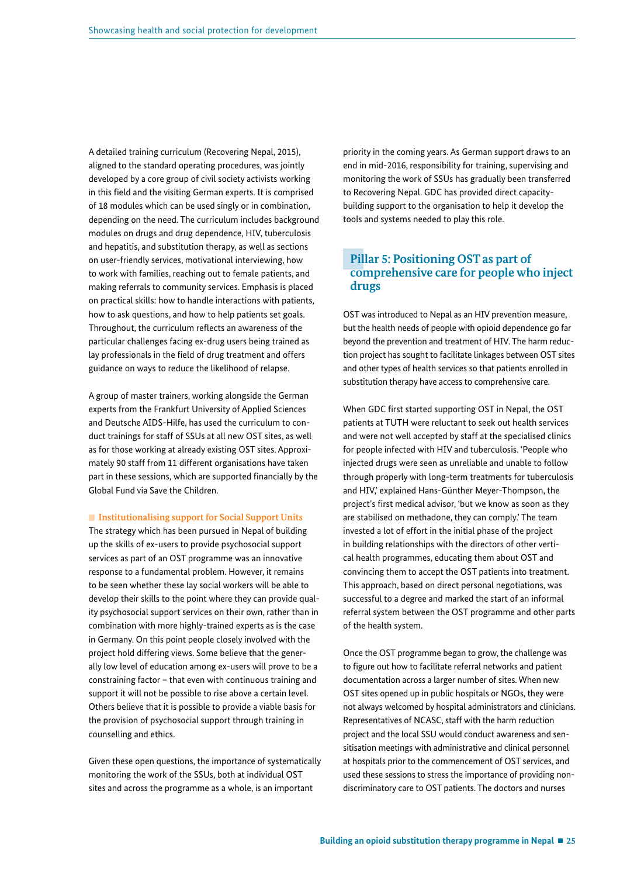A detailed training curriculum (Recovering Nepal, 2015), aligned to the standard operating procedures, was jointly developed by a core group of civil society activists working in this field and the visiting German experts. It is comprised of 18 modules which can be used singly or in combination, depending on the need. The curriculum includes background modules on drugs and drug dependence, HIV, tuberculosis and hepatitis, and substitution therapy, as well as sections on user-friendly services, motivational interviewing, how to work with families, reaching out to female patients, and making referrals to community services. Emphasis is placed on practical skills: how to handle interactions with patients, how to ask questions, and how to help patients set goals. Throughout, the curriculum reflects an awareness of the particular challenges facing ex-drug users being trained as lay professionals in the field of drug treatment and offers guidance on ways to reduce the likelihood of relapse.

A group of master trainers, working alongside the German experts from the Frankfurt University of Applied Sciences and Deutsche AIDS-Hilfe, has used the curriculum to conduct trainings for staff of SSUs at all new OST sites, as well as for those working at already existing OST sites. Approximately 90 staff from 11 different organisations have taken part in these sessions, which are supported fnancially by the Global Fund via Save the Children.

**Institutionalising support for Social Support Units** 

The strategy which has been pursued in Nepal of building up the skills of ex-users to provide psychosocial support services as part of an OST programme was an innovative response to a fundamental problem. However, it remains to be seen whether these lay social workers will be able to develop their skills to the point where they can provide quality psychosocial support services on their own, rather than in combination with more highly-trained experts as is the case in Germany. On this point people closely involved with the project hold differing views. Some believe that the generally low level of education among ex-users will prove to be a constraining factor – that even with continuous training and support it will not be possible to rise above a certain level. Others believe that it is possible to provide a viable basis for the provision of psychosocial support through training in counselling and ethics.

Given these open questions, the importance of systematically monitoring the work of the SSUs, both at individual OST sites and across the programme as a whole, is an important

priority in the coming years. As German support draws to an end in mid-2016, responsibility for training, supervising and monitoring the work of SSUs has gradually been transferred to Recovering Nepal. GDC has provided direct capacitybuilding support to the organisation to help it develop the tools and systems needed to play this role.

## **Pillar 5: Positioning OST as part of comprehensive care for people who inject drugs**

OST was introduced to Nepal as an HIV prevention measure, but the health needs of people with opioid dependence go far beyond the prevention and treatment of HIV. The harm reduction project has sought to facilitate linkages between OST sites and other types of health services so that patients enrolled in substitution therapy have access to comprehensive care.

When GDC frst started supporting OST in Nepal, the OST patients at TUTH were reluctant to seek out health services and were not well accepted by staff at the specialised clinics for people infected with HIV and tuberculosis. 'People who injected drugs were seen as unreliable and unable to follow through properly with long-term treatments for tuberculosis and HIV,' explained Hans-Günther Meyer-Thompson, the project's frst medical advisor, 'but we know as soon as they are stabilised on methadone, they can comply.' The team invested a lot of effort in the initial phase of the project in building relationships with the directors of other vertical health programmes, educating them about OST and convincing them to accept the OST patients into treatment. This approach, based on direct personal negotiations, was successful to a degree and marked the start of an informal referral system between the OST programme and other parts of the health system.

Once the OST programme began to grow, the challenge was to figure out how to facilitate referral networks and patient documentation across a larger number of sites. When new OST sites opened up in public hospitals or NGOs, they were not always welcomed by hospital administrators and clinicians. Representatives of NCASC, staff with the harm reduction project and the local SSU would conduct awareness and sensitisation meetings with administrative and clinical personnel at hospitals prior to the commencement of OST services, and used these sessions to stress the importance of providing nondiscriminatory care to OST patients. The doctors and nurses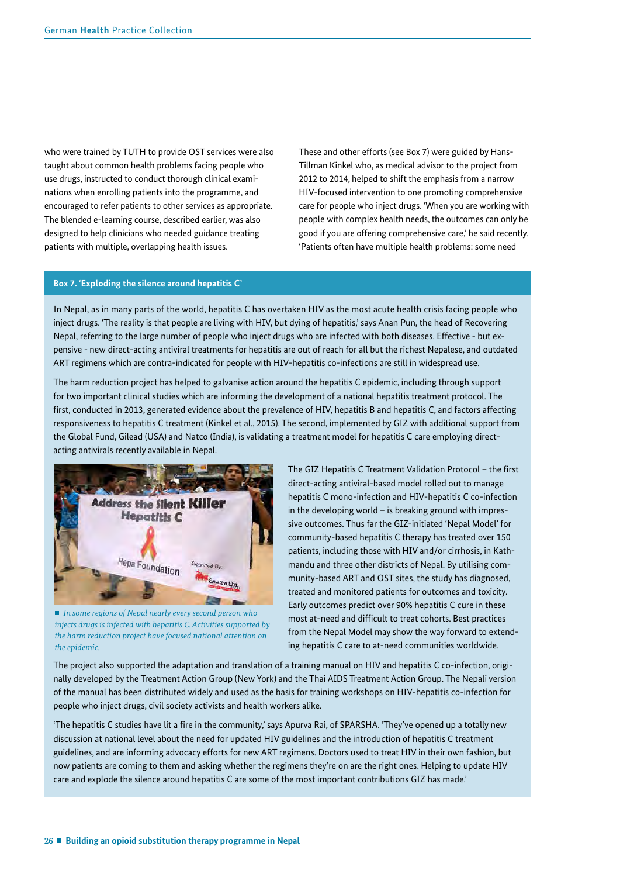who were trained by TUTH to provide OST services were also taught about common health problems facing people who use drugs, instructed to conduct thorough clinical examinations when enrolling patients into the programme, and encouraged to refer patients to other services as appropriate. The blended e-learning course, described earlier, was also designed to help clinicians who needed guidance treating patients with multiple, overlapping health issues.

These and other efforts (see Box 7) were guided by Hans-Tillman Kinkel who, as medical advisor to the project from 2012 to 2014, helped to shift the emphasis from a narrow HIV-focused intervention to one promoting comprehensive care for people who inject drugs. 'When you are working with people with complex health needs, the outcomes can only be good if you are offering comprehensive care,' he said recently. 'Patients often have multiple health problems: some need

#### **Box 7. 'Exploding the silence around hepatitis C'**

In Nepal, as in many parts of the world, hepatitis C has overtaken HIV as the most acute health crisis facing people who inject drugs. 'The reality is that people are living with HIV, but dying of hepatitis,' says Anan Pun, the head of Recovering Nepal, referring to the large number of people who inject drugs who are infected with both diseases. Effective - but expensive - new direct-acting antiviral treatments for hepatitis are out of reach for all but the richest Nepalese, and outdated ART regimens which are contra-indicated for people with HIV-hepatitis co-infections are still in widespread use.

The harm reduction project has helped to galvanise action around the hepatitis C epidemic, including through support for two important clinical studies which are informing the development of a national hepatitis treatment protocol. The first, conducted in 2013, generated evidence about the prevalence of HIV, hepatitis B and hepatitis C, and factors affecting responsiveness to hepatitis C treatment (Kinkel et al., 2015). The second, implemented by GIZ with additional support from the Global Fund, Gilead (USA) and Natco (India), is validating a treatment model for hepatitis C care employing directacting antivirals recently available in Nepal.



 *In some regions of Nepal nearly every second person who injects drugs is infected with hepatitis C. Activities supported by the harm reduction project have focused national attention on the epidemic.*

The GIZ Hepatitis C Treatment Validation Protocol - the first direct-acting antiviral-based model rolled out to manage hepatitis C mono-infection and HIV-hepatitis C co-infection in the developing world – is breaking ground with impressive outcomes. Thus far the GIZ-initiated 'Nepal Model' for community-based hepatitis C therapy has treated over 150 patients, including those with HIV and/or cirrhosis, in Kathmandu and three other districts of Nepal. By utilising community-based ART and OST sites, the study has diagnosed, treated and monitored patients for outcomes and toxicity. Early outcomes predict over 90% hepatitis C cure in these most at-need and difficult to treat cohorts. Best practices from the Nepal Model may show the way forward to extending hepatitis C care to at-need communities worldwide.

The project also supported the adaptation and translation of a training manual on HIV and hepatitis C co-infection, originally developed by the Treatment Action Group (New York) and the Thai AIDS Treatment Action Group. The Nepali version of the manual has been distributed widely and used as the basis for training workshops on HIV-hepatitis co-infection for people who inject drugs, civil society activists and health workers alike.

'The hepatitis C studies have lit a fre in the community,' says Apurva Rai, of SPARSHA. 'They've opened up a totally new discussion at national level about the need for updated HIV guidelines and the introduction of hepatitis C treatment guidelines, and are informing advocacy efforts for new ART regimens. Doctors used to treat HIV in their own fashion, but now patients are coming to them and asking whether the regimens they're on are the right ones. Helping to update HIV care and explode the silence around hepatitis C are some of the most important contributions GIZ has made.'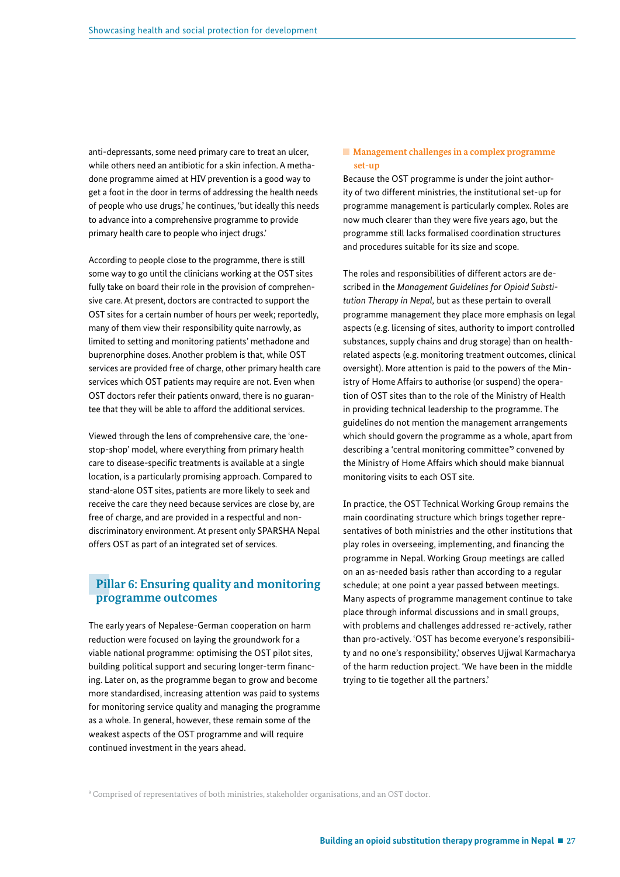anti-depressants, some need primary care to treat an ulcer, while others need an antibiotic for a skin infection. A methadone programme aimed at HIV prevention is a good way to get a foot in the door in terms of addressing the health needs of people who use drugs,' he continues, 'but ideally this needs to advance into a comprehensive programme to provide primary health care to people who inject drugs.'

According to people close to the programme, there is still some way to go until the clinicians working at the OST sites fully take on board their role in the provision of comprehensive care. At present, doctors are contracted to support the OST sites for a certain number of hours per week; reportedly, many of them view their responsibility quite narrowly, as limited to setting and monitoring patients' methadone and buprenorphine doses. Another problem is that, while OST services are provided free of charge, other primary health care services which OST patients may require are not. Even when OST doctors refer their patients onward, there is no guarantee that they will be able to afford the additional services.

Viewed through the lens of comprehensive care, the 'onestop-shop' model, where everything from primary health care to disease-specific treatments is available at a single location, is a particularly promising approach. Compared to stand-alone OST sites, patients are more likely to seek and receive the care they need because services are close by, are free of charge, and are provided in a respectful and nondiscriminatory environment. At present only SPARSHA Nepal offers OST as part of an integrated set of services.

### **Pillar 6: Ensuring quality and monitoring programme outcomes**

The early years of Nepalese-German cooperation on harm reduction were focused on laying the groundwork for a viable national programme: optimising the OST pilot sites, building political support and securing longer-term financing. Later on, as the programme began to grow and become more standardised, increasing attention was paid to systems for monitoring service quality and managing the programme as a whole. In general, however, these remain some of the weakest aspects of the OST programme and will require continued investment in the years ahead.

#### **Management challenges in a complex programme set-up**

Because the OST programme is under the joint authority of two different ministries, the institutional set-up for programme management is particularly complex. Roles are now much clearer than they were five years ago, but the programme still lacks formalised coordination structures and procedures suitable for its size and scope.

The roles and responsibilities of different actors are described in the *Management Guidelines for Opioid Substitution Therapy in Nepal,* but as these pertain to overall programme management they place more emphasis on legal aspects (e.g. licensing of sites, authority to import controlled substances, supply chains and drug storage) than on healthrelated aspects (e.g. monitoring treatment outcomes, clinical oversight). More attention is paid to the powers of the Ministry of Home Affairs to authorise (or suspend) the operation of OST sites than to the role of the Ministry of Health in providing technical leadership to the programme. The guidelines do not mention the management arrangements which should govern the programme as a whole, apart from describing a 'central monitoring committee'<sup>9</sup> convened by the Ministry of Home Affairs which should make biannual monitoring visits to each OST site.

In practice, the OST Technical Working Group remains the main coordinating structure which brings together representatives of both ministries and the other institutions that play roles in overseeing, implementing, and fnancing the programme in Nepal. Working Group meetings are called on an as-needed basis rather than according to a regular schedule; at one point a year passed between meetings. Many aspects of programme management continue to take place through informal discussions and in small groups, with problems and challenges addressed re-actively, rather than pro-actively. 'OST has become everyone's responsibility and no one's responsibility,' observes Ujjwal Karmacharya of the harm reduction project. 'We have been in the middle trying to tie together all the partners.'

9 Comprised of representatives of both ministries, stakeholder organisations, and an OST doctor.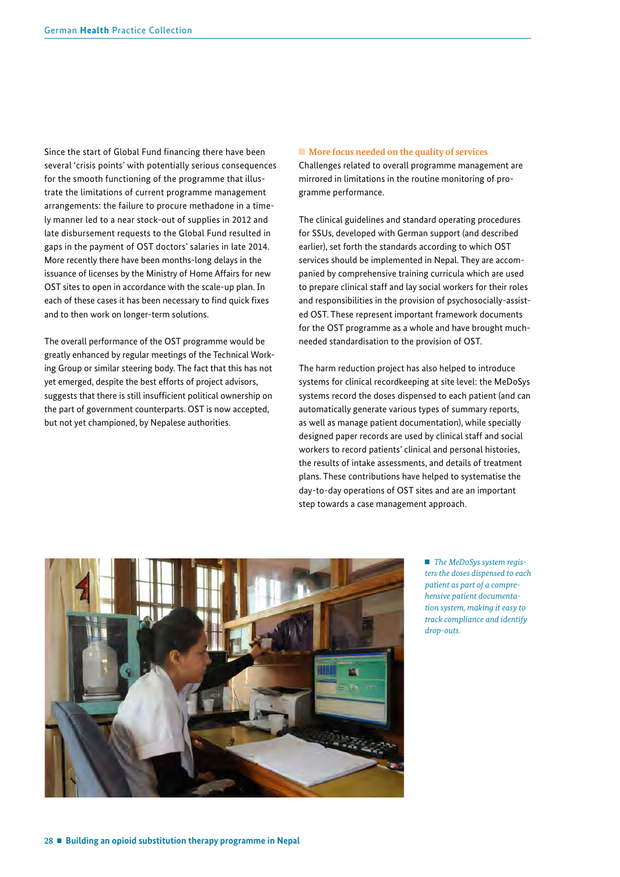Since the start of Global Fund financing there have been several 'crisis points' with potentially serious consequences for the smooth functioning of the programme that illustrate the limitations of current programme management arrangements: the failure to procure methadone in a timely manner led to a near stock-out of supplies in 2012 and late disbursement requests to the Global Fund resulted in gaps in the payment of OST doctors' salaries in late 2014. More recently there have been months-long delays in the issuance of licenses by the Ministry of Home Affairs for new OST sites to open in accordance with the scale-up plan. In each of these cases it has been necessary to find quick fixes and to then work on longer-term solutions.

The overall performance of the OST programme would be greatly enhanced by regular meetings of the Technical Working Group or similar steering body. The fact that this has not yet emerged, despite the best efforts of project advisors, suggests that there is still insufficient political ownership on the part of government counterparts. OST is now accepted, but not yet championed, by Nepalese authorities.

#### ■ More focus needed on the quality of services

Challenges related to overall programme management are mirrored in limitations in the routine monitoring of programme performance.

The clinical guidelines and standard operating procedures for SSUs, developed with German support (and described earlier), set forth the standards according to which OST services should be implemented in Nepal. They are accompanied by comprehensive training curricula which are used to prepare clinical staff and lay social workers for their roles and responsibilities in the provision of psychosocially-assisted OST. These represent important framework documents for the OST programme as a whole and have brought muchneeded standardisation to the provision of OST.

The harm reduction project has also helped to introduce systems for clinical recordkeeping at site level: the MeDoSys systems record the doses dispensed to each patient (and can automatically generate various types of summary reports, as well as manage patient documentation), while specially designed paper records are used by clinical staff and social workers to record patients' clinical and personal histories, the results of intake assessments, and details of treatment plans. These contributions have helped to systematise the day-to-day operations of OST sites and are an important step towards a case management approach.



 *The MeDoSys system registers the doses dispensed to each patient as part of a comprehensive patient documentation system, making it easy to track compliance and identify drop-outs.*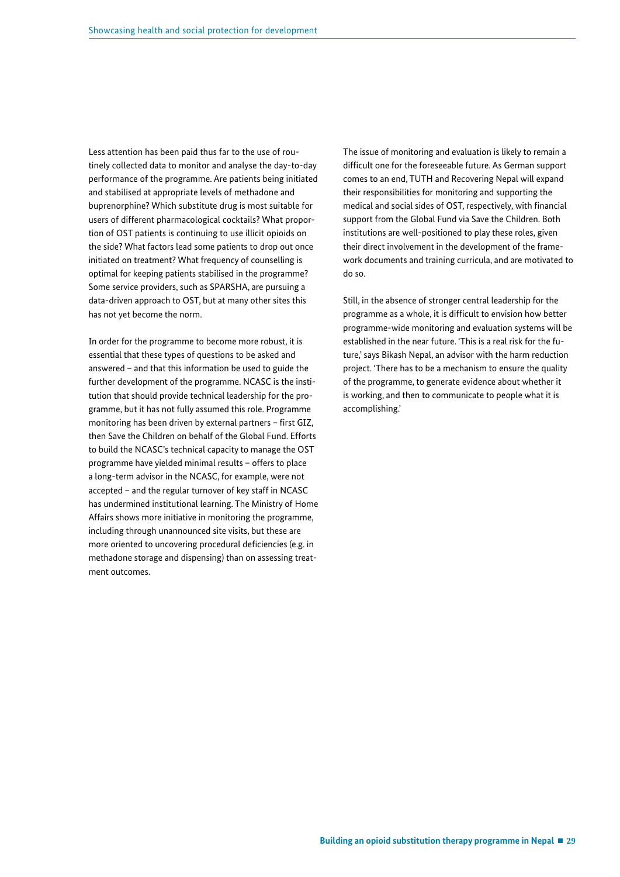Less attention has been paid thus far to the use of routinely collected data to monitor and analyse the day-to-day performance of the programme. Are patients being initiated and stabilised at appropriate levels of methadone and buprenorphine? Which substitute drug is most suitable for users of different pharmacological cocktails? What proportion of OST patients is continuing to use illicit opioids on the side? What factors lead some patients to drop out once initiated on treatment? What frequency of counselling is optimal for keeping patients stabilised in the programme? Some service providers, such as SPARSHA, are pursuing a data-driven approach to OST, but at many other sites this has not yet become the norm.

In order for the programme to become more robust, it is essential that these types of questions to be asked and answered – and that this information be used to guide the further development of the programme. NCASC is the institution that should provide technical leadership for the programme, but it has not fully assumed this role. Programme monitoring has been driven by external partners - first GIZ, then Save the Children on behalf of the Global Fund. Efforts to build the NCASC's technical capacity to manage the OST programme have yielded minimal results – offers to place a long-term advisor in the NCASC, for example, were not accepted – and the regular turnover of key staff in NCASC has undermined institutional learning. The Ministry of Home Affairs shows more initiative in monitoring the programme, including through unannounced site visits, but these are more oriented to uncovering procedural deficiencies (e.g. in methadone storage and dispensing) than on assessing treatment outcomes.

The issue of monitoring and evaluation is likely to remain a difficult one for the foreseeable future. As German support comes to an end, TUTH and Recovering Nepal will expand their responsibilities for monitoring and supporting the medical and social sides of OST, respectively, with fnancial support from the Global Fund via Save the Children. Both institutions are well-positioned to play these roles, given their direct involvement in the development of the framework documents and training curricula, and are motivated to do so.

Still, in the absence of stronger central leadership for the programme as a whole, it is difficult to envision how better programme-wide monitoring and evaluation systems will be established in the near future. 'This is a real risk for the future,' says Bikash Nepal, an advisor with the harm reduction project. 'There has to be a mechanism to ensure the quality of the programme, to generate evidence about whether it is working, and then to communicate to people what it is accomplishing.'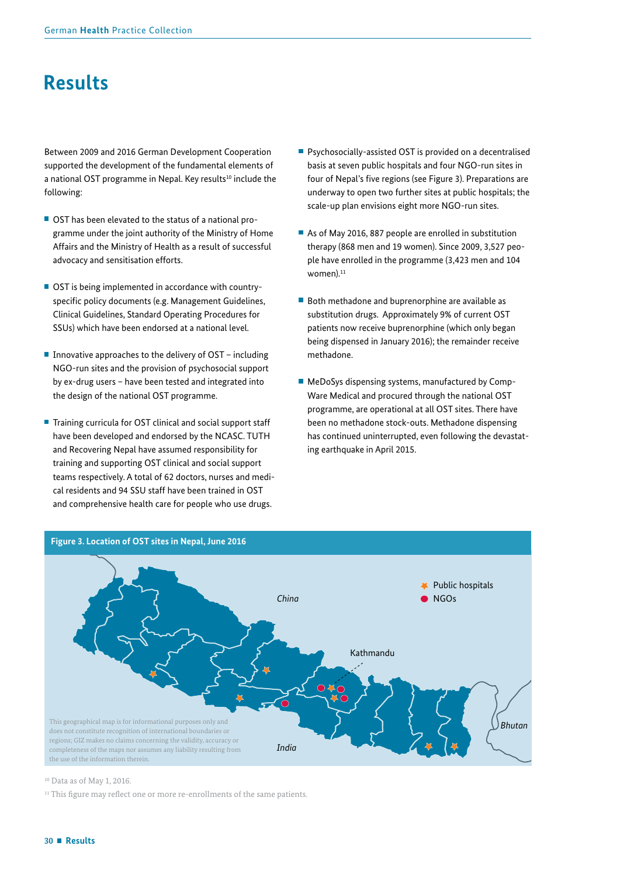## <span id="page-29-0"></span>**Results**

Between 2009 and 2016 German Development Cooperation supported the development of the fundamental elements of a national OST programme in Nepal. Key results<sup>10</sup> include the following:

- OST has been elevated to the status of a national programme under the joint authority of the Ministry of Home Affairs and the Ministry of Health as a result of successful advocacy and sensitisation efforts.
- OST is being implemented in accordance with countryspecific policy documents (e.g. Management Guidelines, Clinical Guidelines, Standard Operating Procedures for SSUs) which have been endorsed at a national level.
- Innovative approaches to the delivery of  $OST$  including NGO-run sites and the provision of psychosocial support by ex-drug users – have been tested and integrated into the design of the national OST programme.
- Training curricula for OST clinical and social support staff have been developed and endorsed by the NCASC. TUTH and Recovering Nepal have assumed responsibility for training and supporting OST clinical and social support teams respectively. A total of 62 doctors, nurses and medical residents and 94 SSU staff have been trained in OST and comprehensive health care for people who use drugs.
- **Psychosocially-assisted OST is provided on a decentralised** basis at seven public hospitals and four NGO-run sites in four of Nepal's five regions (see Figure 3). Preparations are underway to open two further sites at public hospitals; the scale-up plan envisions eight more NGO-run sites.
- As of May 2016, 887 people are enrolled in substitution therapy (868 men and 19 women). Since 2009, 3,527 people have enrolled in the programme (3,423 men and 104 women). $11$
- Both methadone and buprenorphine are available as substitution drugs. Approximately 9% of current OST patients now receive buprenorphine (which only began being dispensed in January 2016); the remainder receive methadone.
- MeDoSys dispensing systems, manufactured by Comp-Ware Medical and procured through the national OST programme, are operational at all OST sites. There have been no methadone stock-outs. Methadone dispensing has continued uninterrupted, even following the devastating earthquake in April 2015.



#### 10 Data as of May 1, 2016.

<sup>11</sup> This figure may reflect one or more re-enrollments of the same patients.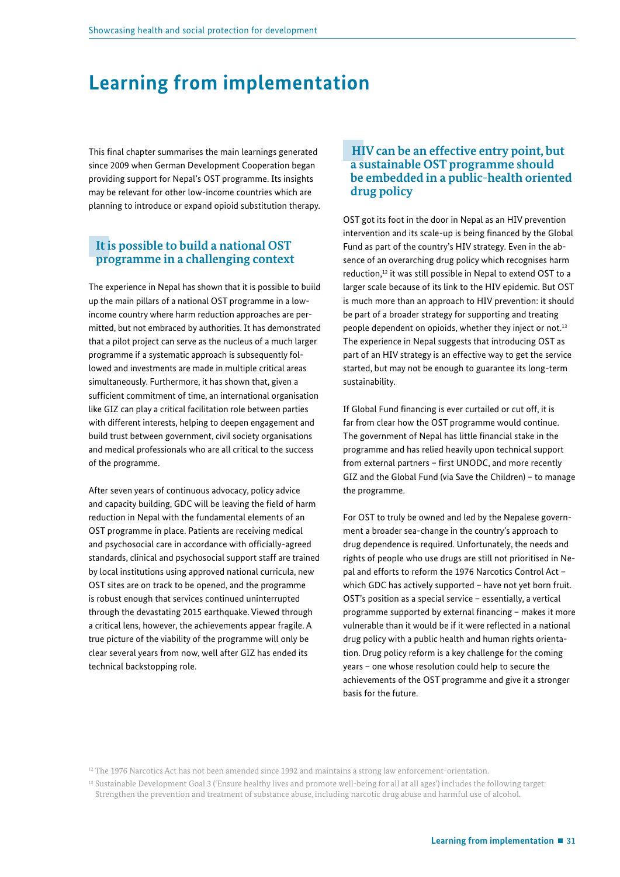## <span id="page-30-0"></span>**Learning from implementation**

This final chapter summarises the main learnings generated since 2009 when German Development Cooperation began providing support for Nepal's OST programme. Its insights may be relevant for other low-income countries which are planning to introduce or expand opioid substitution therapy.

## **It is possible to build a national OST programme in a challenging context**

The experience in Nepal has shown that it is possible to build up the main pillars of a national OST programme in a lowincome country where harm reduction approaches are permitted, but not embraced by authorities. It has demonstrated that a pilot project can serve as the nucleus of a much larger programme if a systematic approach is subsequently followed and investments are made in multiple critical areas simultaneously. Furthermore, it has shown that, given a sufficient commitment of time, an international organisation like GIZ can play a critical facilitation role between parties with different interests, helping to deepen engagement and build trust between government, civil society organisations and medical professionals who are all critical to the success of the programme.

After seven years of continuous advocacy, policy advice and capacity building, GDC will be leaving the field of harm reduction in Nepal with the fundamental elements of an OST programme in place. Patients are receiving medical and psychosocial care in accordance with officially-agreed standards, clinical and psychosocial support staff are trained by local institutions using approved national curricula, new OST sites are on track to be opened, and the programme is robust enough that services continued uninterrupted through the devastating 2015 earthquake. Viewed through a critical lens, however, the achievements appear fragile. A true picture of the viability of the programme will only be clear several years from now, well after GIZ has ended its technical backstopping role.

### **HIV can be an effective entry point, but a sustainable OST programme should be embedded in a public-health oriented drug policy**

OST got its foot in the door in Nepal as an HIV prevention intervention and its scale-up is being financed by the Global Fund as part of the country's HIV strategy. Even in the absence of an overarching drug policy which recognises harm reduction,<sup>12</sup> it was still possible in Nepal to extend OST to a larger scale because of its link to the HIV epidemic. But OST is much more than an approach to HIV prevention: it should be part of a broader strategy for supporting and treating people dependent on opioids, whether they inject or not.<sup>13</sup> The experience in Nepal suggests that introducing OST as part of an HIV strategy is an effective way to get the service started, but may not be enough to guarantee its long-term sustainability.

If Global Fund financing is ever curtailed or cut off, it is far from clear how the OST programme would continue. The government of Nepal has little financial stake in the programme and has relied heavily upon technical support from external partners - first UNODC, and more recently GIZ and the Global Fund (via Save the Children) – to manage the programme.

For OST to truly be owned and led by the Nepalese government a broader sea-change in the country's approach to drug dependence is required. Unfortunately, the needs and rights of people who use drugs are still not prioritised in Nepal and efforts to reform the 1976 Narcotics Control Act – which GDC has actively supported – have not yet born fruit. OST's position as a special service – essentially, a vertical programme supported by external financing - makes it more vulnerable than it would be if it were refected in a national drug policy with a public health and human rights orientation. Drug policy reform is a key challenge for the coming years – one whose resolution could help to secure the achievements of the OST programme and give it a stronger basis for the future.

<sup>12</sup> The 1976 Narcotics Act has not been amended since 1992 and maintains a strong law enforcement-orientation.

<sup>13</sup> Sustainable Development Goal 3 ('Ensure healthy lives and promote well-being for all at all ages') includes the following target: Strengthen the prevention and treatment of substance abuse, including narcotic drug abuse and harmful use of alcohol.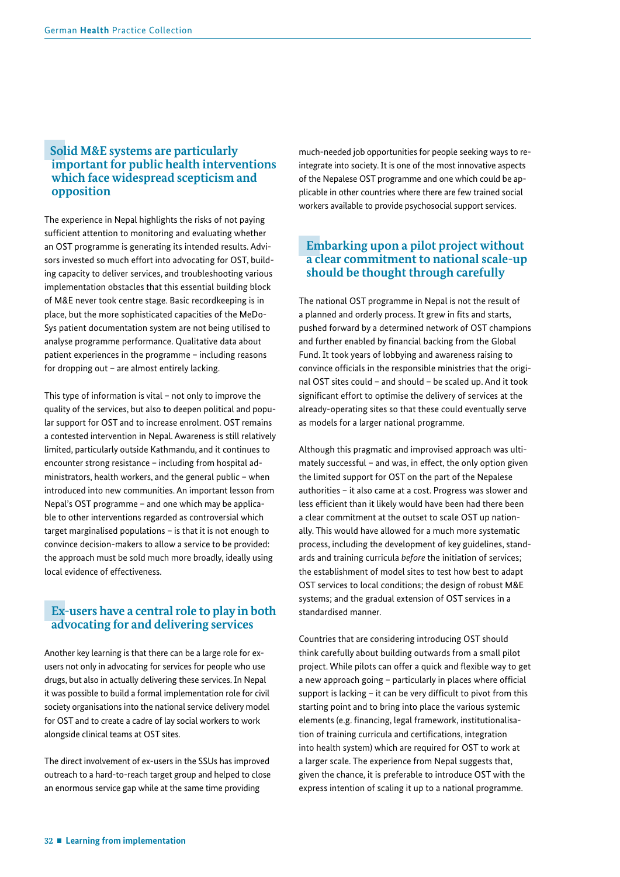## **Solid M&E systems are particularly important for public health interventions which face widespread scepticism and opposition**

The experience in Nepal highlights the risks of not paying sufficient attention to monitoring and evaluating whether an OST programme is generating its intended results. Advisors invested so much effort into advocating for OST, building capacity to deliver services, and troubleshooting various implementation obstacles that this essential building block of M&E never took centre stage. Basic recordkeeping is in place, but the more sophisticated capacities of the MeDo-Sys patient documentation system are not being utilised to analyse programme performance. Qualitative data about patient experiences in the programme – including reasons for dropping out – are almost entirely lacking.

This type of information is vital – not only to improve the quality of the services, but also to deepen political and popular support for OST and to increase enrolment. OST remains a contested intervention in Nepal. Awareness is still relatively limited, particularly outside Kathmandu, and it continues to encounter strong resistance – including from hospital administrators, health workers, and the general public – when introduced into new communities. An important lesson from Nepal's OST programme – and one which may be applicable to other interventions regarded as controversial which target marginalised populations – is that it is not enough to convince decision-makers to allow a service to be provided: the approach must be sold much more broadly, ideally using local evidence of effectiveness.

## **Ex-users have a central role to play in both advocating for and delivering services**

Another key learning is that there can be a large role for exusers not only in advocating for services for people who use drugs, but also in actually delivering these services. In Nepal it was possible to build a formal implementation role for civil society organisations into the national service delivery model for OST and to create a cadre of lay social workers to work alongside clinical teams at OST sites.

The direct involvement of ex-users in the SSUs has improved outreach to a hard-to-reach target group and helped to close an enormous service gap while at the same time providing

much-needed job opportunities for people seeking ways to reintegrate into society. It is one of the most innovative aspects of the Nepalese OST programme and one which could be applicable in other countries where there are few trained social workers available to provide psychosocial support services.

## **Embarking upon a pilot project without a clear commitment to national scale-up should be thought through carefully**

The national OST programme in Nepal is not the result of a planned and orderly process. It grew in fits and starts, pushed forward by a determined network of OST champions and further enabled by financial backing from the Global Fund. It took years of lobbying and awareness raising to convince officials in the responsible ministries that the original OST sites could – and should – be scaled up. And it took significant effort to optimise the delivery of services at the already-operating sites so that these could eventually serve as models for a larger national programme.

Although this pragmatic and improvised approach was ultimately successful – and was, in effect, the only option given the limited support for OST on the part of the Nepalese authorities – it also came at a cost. Progress was slower and less efficient than it likely would have been had there been a clear commitment at the outset to scale OST up nationally. This would have allowed for a much more systematic process, including the development of key guidelines, standards and training curricula *before* the initiation of services; the establishment of model sites to test how best to adapt OST services to local conditions; the design of robust M&E systems; and the gradual extension of OST services in a standardised manner.

Countries that are considering introducing OST should think carefully about building outwards from a small pilot project. While pilots can offer a quick and flexible way to get a new approach going - particularly in places where official support is lacking  $-$  it can be very difficult to pivot from this starting point and to bring into place the various systemic elements (e.g. fnancing, legal framework, institutionalisation of training curricula and certifcations, integration into health system) which are required for OST to work at a larger scale. The experience from Nepal suggests that, given the chance, it is preferable to introduce OST with the express intention of scaling it up to a national programme.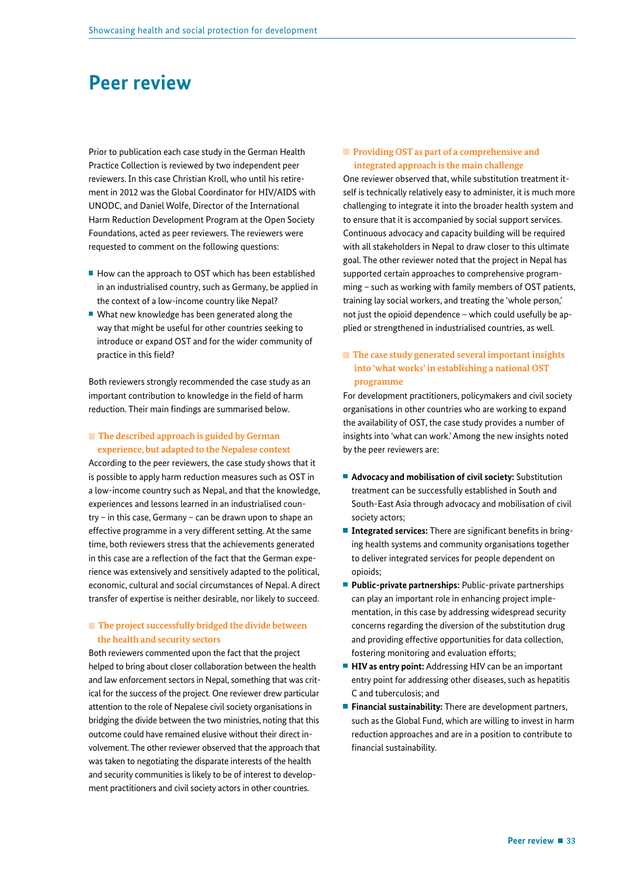## <span id="page-32-0"></span>**Peer review**

Prior to publication each case study in the German Health Practice Collection is reviewed by two independent peer reviewers. In this case Christian Kroll, who until his retirement in 2012 was the Global Coordinator for HIV/AIDS with UNODC, and Daniel Wolfe, Director of the International Harm Reduction Development Program at the Open Society Foundations, acted as peer reviewers. The reviewers were requested to comment on the following questions:

- $\blacksquare$  How can the approach to OST which has been established in an industrialised country, such as Germany, be applied in the context of a low-income country like Nepal?
- What new knowledge has been generated along the way that might be useful for other countries seeking to introduce or expand OST and for the wider community of practice in this field?

Both reviewers strongly recommended the case study as an important contribution to knowledge in the field of harm reduction. Their main findings are summarised below.

#### **The described approach is guided by German experience, but adapted to the Nepalese context**

According to the peer reviewers, the case study shows that it is possible to apply harm reduction measures such as OST in a low-income country such as Nepal, and that the knowledge, experiences and lessons learned in an industrialised country – in this case, Germany – can be drawn upon to shape an effective programme in a very different setting. At the same time, both reviewers stress that the achievements generated in this case are a reflection of the fact that the German experience was extensively and sensitively adapted to the political, economic, cultural and social circumstances of Nepal. A direct transfer of expertise is neither desirable, nor likely to succeed.

#### **The project successfully bridged the divide between the health and security sectors**

Both reviewers commented upon the fact that the project helped to bring about closer collaboration between the health and law enforcement sectors in Nepal, something that was critical for the success of the project. One reviewer drew particular attention to the role of Nepalese civil society organisations in bridging the divide between the two ministries, noting that this outcome could have remained elusive without their direct involvement. The other reviewer observed that the approach that was taken to negotiating the disparate interests of the health and security communities is likely to be of interest to development practitioners and civil society actors in other countries.

#### **Providing OST as part of a comprehensive and integrated approach is the main challenge**

One reviewer observed that, while substitution treatment itself is technically relatively easy to administer, it is much more challenging to integrate it into the broader health system and to ensure that it is accompanied by social support services. Continuous advocacy and capacity building will be required with all stakeholders in Nepal to draw closer to this ultimate goal. The other reviewer noted that the project in Nepal has supported certain approaches to comprehensive programming – such as working with family members of OST patients, training lay social workers, and treating the 'whole person,' not just the opioid dependence – which could usefully be applied or strengthened in industrialised countries, as well.

#### ■ The case study generated several important insights  **into 'what works' in establishing a national OST programme**

For development practitioners, policymakers and civil society organisations in other countries who are working to expand the availability of OST, the case study provides a number of insights into 'what can work.' Among the new insights noted by the peer reviewers are:

- **Advocacy and mobilisation of civil society:** Substitution treatment can be successfully established in South and South-East Asia through advocacy and mobilisation of civil society actors;
- **Integrated services:** There are significant benefits in bringing health systems and community organisations together to deliver integrated services for people dependent on opioids;
- **Public-private partnerships:** Public-private partnerships can play an important role in enhancing project implementation, in this case by addressing widespread security concerns regarding the diversion of the substitution drug and providing effective opportunities for data collection, fostering monitoring and evaluation efforts;
- **HIV as entry point:** Addressing HIV can be an important entry point for addressing other diseases, such as hepatitis C and tuberculosis; and
- **Financial sustainability:** There are development partners, such as the Global Fund, which are willing to invest in harm reduction approaches and are in a position to contribute to financial sustainability.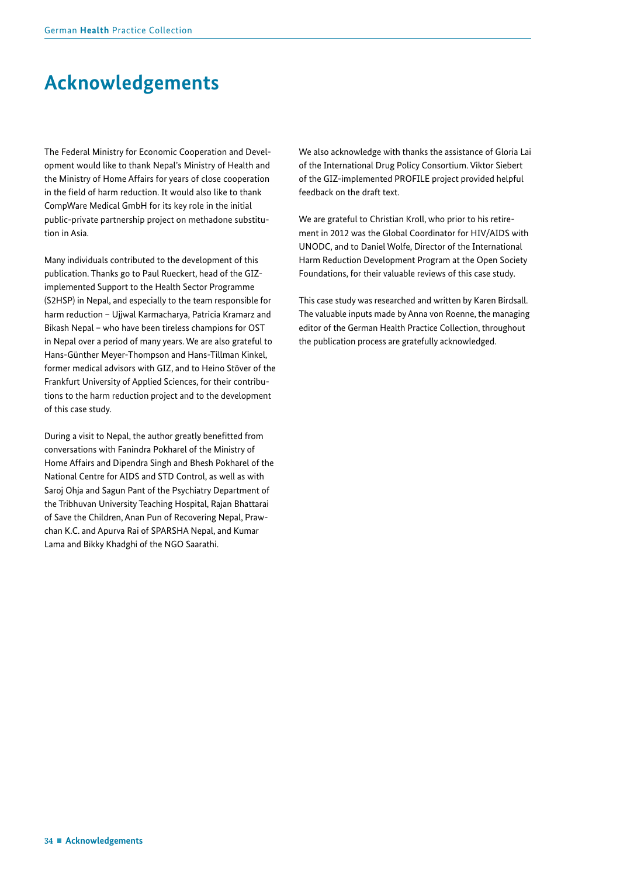## <span id="page-33-0"></span>**Acknowledgements**

The Federal Ministry for Economic Cooperation and Development would like to thank Nepal's Ministry of Health and the Ministry of Home Affairs for years of close cooperation in the field of harm reduction. It would also like to thank CompWare Medical GmbH for its key role in the initial public-private partnership project on methadone substitution in Asia.

Many individuals contributed to the development of this publication. Thanks go to Paul Rueckert, head of the GIZimplemented Support to the Health Sector Programme (S2HSP) in Nepal, and especially to the team responsible for harm reduction – Ujjwal Karmacharya, Patricia Kramarz and Bikash Nepal – who have been tireless champions for OST in Nepal over a period of many years. We are also grateful to Hans-Günther Meyer-Thompson and Hans-Tillman Kinkel, former medical advisors with GIZ, and to Heino Stöver of the Frankfurt University of Applied Sciences, for their contributions to the harm reduction project and to the development of this case study.

During a visit to Nepal, the author greatly beneftted from conversations with Fanindra Pokharel of the Ministry of Home Affairs and Dipendra Singh and Bhesh Pokharel of the National Centre for AIDS and STD Control, as well as with Saroj Ohja and Sagun Pant of the Psychiatry Department of the Tribhuvan University Teaching Hospital, Rajan Bhattarai of Save the Children, Anan Pun of Recovering Nepal, Prawchan K.C. and Apurva Rai of SPARSHA Nepal, and Kumar Lama and Bikky Khadghi of the NGO Saarathi.

We also acknowledge with thanks the assistance of Gloria Lai of the International Drug Policy Consortium. Viktor Siebert of the GIZ-implemented PROFILE project provided helpful feedback on the draft text.

We are grateful to Christian Kroll, who prior to his retirement in 2012 was the Global Coordinator for HIV/AIDS with UNODC, and to Daniel Wolfe, Director of the International Harm Reduction Development Program at the Open Society Foundations, for their valuable reviews of this case study.

This case study was researched and written by Karen Birdsall. The valuable inputs made by Anna von Roenne, the managing editor of the German Health Practice Collection, throughout the publication process are gratefully acknowledged.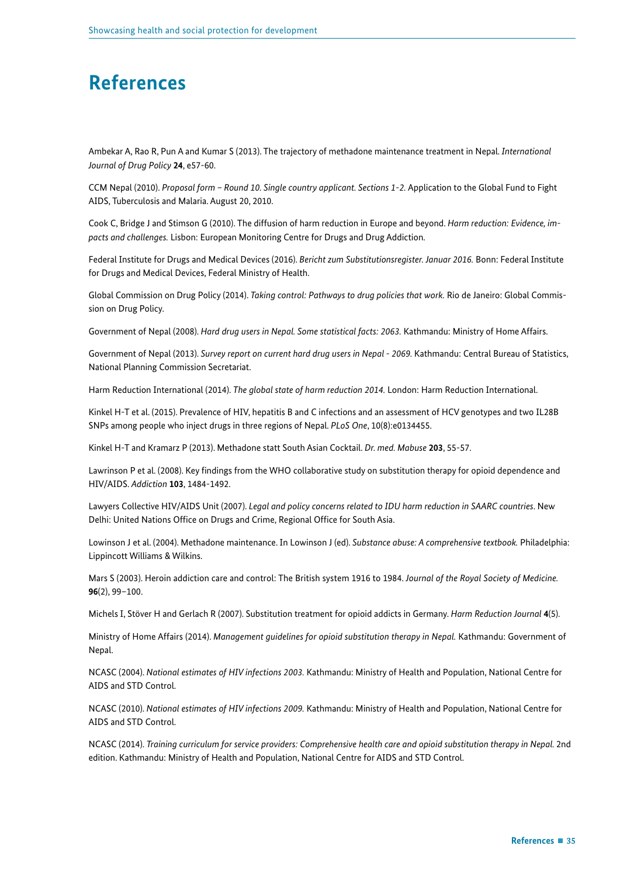## <span id="page-34-0"></span>**References**

Ambekar A, Rao R, Pun A and Kumar S (2013). The trajectory of methadone maintenance treatment in Nepal. *International Journal of Drug Policy* **24**, e57-60.

CCM Nepal (2010). *Proposal form – Round 10. Single country applicant. Sections 1-2.* Application to the Global Fund to Fight AIDS, Tuberculosis and Malaria. August 20, 2010.

Cook C, Bridge J and Stimson G (2010). The diffusion of harm reduction in Europe and beyond. *Harm reduction: Evidence, impacts and challenges.* Lisbon: European Monitoring Centre for Drugs and Drug Addiction.

Federal Institute for Drugs and Medical Devices (2016). *Bericht zum Substitutionsregister. Januar 2016.* Bonn: Federal Institute for Drugs and Medical Devices, Federal Ministry of Health.

Global Commission on Drug Policy (2014). *Taking control: Pathways to drug policies that work.* Rio de Janeiro: Global Commission on Drug Policy.

Government of Nepal (2008). *Hard drug users in Nepal. Some statistical facts: 2063.* Kathmandu: Ministry of Home Affairs.

Government of Nepal (2013). Survey report on current hard drug users in Nepal - 2069. Kathmandu: Central Bureau of Statistics, National Planning Commission Secretariat.

Harm Reduction International (2014). *The global state of harm reduction 2014.* London: Harm Reduction International.

Kinkel H-T et al. (2015). Prevalence of HIV, hepatitis B and C infections and an assessment of HCV genotypes and two IL28B SNPs among people who inject drugs in three regions of Nepal. *PLoS One*, 10(8):e0134455.

Kinkel H-T and Kramarz P (2013). Methadone statt South Asian Cocktail. *Dr. med. Mabuse* **203**, 55-57.

Lawrinson P et al. (2008). Key fndings from the WHO collaborative study on substitution therapy for opioid dependence and HIV/AIDS. *Addiction* **103**, 1484-1492.

Lawyers Collective HIV/AIDS Unit (2007). *Legal and policy concerns related to IDU harm reduction in SAARC countries*. New Delhi: United Nations Office on Drugs and Crime, Regional Office for South Asia.

Lowinson J et al. (2004). Methadone maintenance. In Lowinson J (ed). *Substance abuse: A comprehensive textbook.* Philadelphia: Lippincott Williams & Wilkins.

Mars S (2003). Heroin addiction care and control: The British system 1916 to 1984. *Journal of the Royal Society of Medicine.*  **96**(2), 99–100.

Michels I, Stöver H and Gerlach R (2007). Substitution treatment for opioid addicts in Germany. *Harm Reduction Journal* **4**(5).

Ministry of Home Affairs (2014). *Management guidelines for opioid substitution therapy in Nepal.* Kathmandu: Government of Nepal.

NCASC (2004). *National estimates of HIV infections 2003.* Kathmandu: Ministry of Health and Population, National Centre for AIDS and STD Control.

NCASC (2010). *National estimates of HIV infections 2009.* Kathmandu: Ministry of Health and Population, National Centre for AIDS and STD Control.

NCASC (2014). *Training curriculum for service providers: Comprehensive health care and opioid substitution therapy in Nepal.* 2nd edition. Kathmandu: Ministry of Health and Population, National Centre for AIDS and STD Control.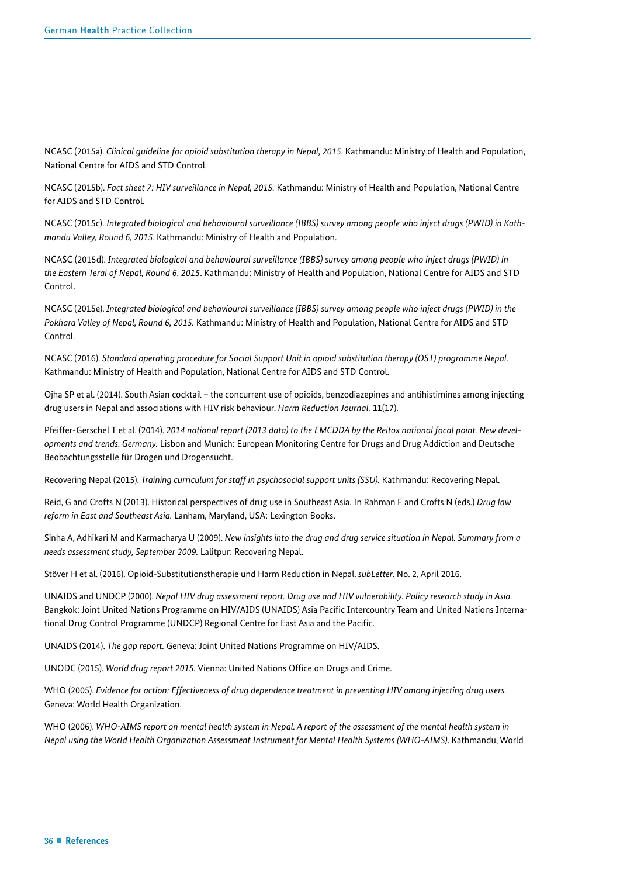NCASC (2015a). *Clinical guideline for opioid substitution therapy in Nepal, 2015*. Kathmandu: Ministry of Health and Population, National Centre for AIDS and STD Control.

NCASC (2015b). *Fact sheet 7: HIV surveillance in Nepal, 2015.* Kathmandu: Ministry of Health and Population, National Centre for AIDS and STD Control.

NCASC (2015c). *Integrated biological and behavioural surveillance (IBBS) survey among people who inject drugs (PWID) in Kathmandu Valley, Round 6, 2015*. Kathmandu: Ministry of Health and Population.

NCASC (2015d). *Integrated biological and behavioural surveillance (IBBS) survey among people who inject drugs (PWID) in the Eastern Terai of Nepal, Round 6, 2015*. Kathmandu: Ministry of Health and Population, National Centre for AIDS and STD Control.

NCASC (2015e). *Integrated biological and behavioural surveillance (IBBS) survey among people who inject drugs (PWID) in the Pokhara Valley of Nepal, Round 6, 2015.* Kathmandu: Ministry of Health and Population, National Centre for AIDS and STD Control.

NCASC (2016). *Standard operating procedure for Social Support Unit in opioid substitution therapy (OST) programme Nepal.*  Kathmandu: Ministry of Health and Population, National Centre for AIDS and STD Control.

Ojha SP et al. (2014). South Asian cocktail – the concurrent use of opioids, benzodiazepines and antihistimines among injecting drug users in Nepal and associations with HIV risk behaviour. *Harm Reduction Journal.* **11**(17).

Pfeiffer-Gerschel T et al. (2014). *2014 national report (2013 data) to the EMCDDA by the Reitox national focal point. New developments and trends. Germany.* Lisbon and Munich: European Monitoring Centre for Drugs and Drug Addiction and Deutsche Beobachtungsstelle für Drogen und Drogensucht.

Recovering Nepal (2015). *Training curriculum for staff in psychosocial support units (SSU).* Kathmandu: Recovering Nepal.

Reid, G and Crofts N (2013). Historical perspectives of drug use in Southeast Asia. In Rahman F and Crofts N (eds.) *Drug law reform in East and Southeast Asia.* Lanham, Maryland, USA: Lexington Books.

Sinha A, Adhikari M and Karmacharya U (2009). *New insights into the drug and drug service situation in Nepal. Summary from a needs assessment study, September 2009.* Lalitpur: Recovering Nepal.

Stöver H et al. (2016). Opioid-Substitutionstherapie und Harm Reduction in Nepal. *subLetter*. No. 2, April 2016.

UNAIDS and UNDCP (2000). *Nepal HIV drug assessment report. Drug use and HIV vulnerability. Policy research study in Asia.*  Bangkok: Joint United Nations Programme on HIV/AIDS (UNAIDS) Asia Pacifc Intercountry Team and United Nations International Drug Control Programme (UNDCP) Regional Centre for East Asia and the Pacifc.

UNAIDS (2014). *The gap report.* Geneva: Joint United Nations Programme on HIV/AIDS.

UNODC (2015). *World drug report 2015.* Vienna: United Nations Office on Drugs and Crime.

WHO (2005). *Evidence for action: Effectiveness of drug dependence treatment in preventing HIV among injecting drug users.*  Geneva: World Health Organization.

WHO (2006). *WHO-AIMS report on mental health system in Nepal. A report of the assessment of the mental health system in Nepal using the World Health Organization Assessment Instrument for Mental Health Systems (WHO-AIMS)*. Kathmandu, World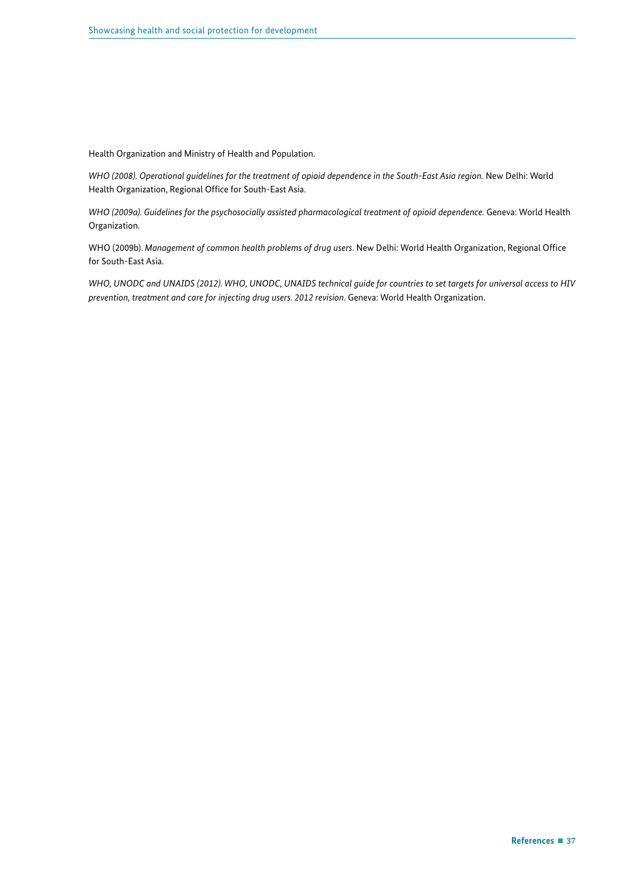Health Organization and Ministry of Health and Population.

*WHO (2008). Operational guidelines for the treatment of opioid dependence in the South-East Asia region.* New Delhi: World Health Organization, Regional Office for South-East Asia.

*WHO (2009a). Guidelines for the psychosocially assisted pharmacological treatment of opioid dependence.* Geneva: World Health Organization.

WHO (2009b). *Management of common health problems of drug users*. New Delhi: World Health Organization, Regional Offce for South-East Asia.

*WHO, UNODC and UNAIDS (2012). WHO, UNODC, UNAIDS technical guide for countries to set targets for universal access to HIV prevention, treatment and care for injecting drug users. 2012 revision*. Geneva: World Health Organization.